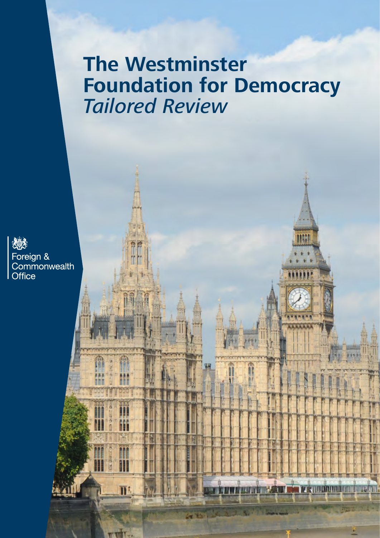# **The Westminster Foundation for Democracy** *Tailored Review*

**MARINO BUTTON DI TELESIONE** 

**CURRICISTIC AND** 

演奏 Foreign &<br>Commonwealth **Office** 

A

I

 $\overline{\mathbf{n}}$ 

munit.

**GRAN**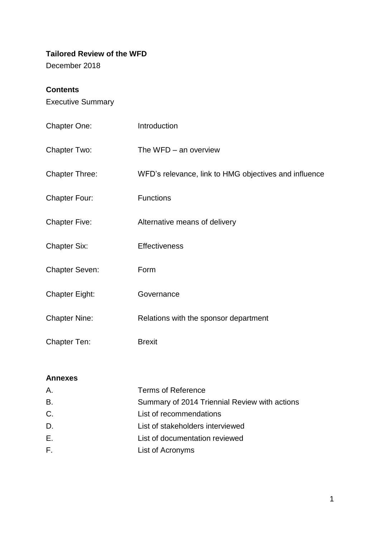# **Tailored Review of the WFD**

December 2018

# **Contents**

Executive Summary

| <b>Chapter One:</b>   | Introduction                                          |
|-----------------------|-------------------------------------------------------|
| Chapter Two:          | The $WFD - an$ overview                               |
| <b>Chapter Three:</b> | WFD's relevance, link to HMG objectives and influence |
| <b>Chapter Four:</b>  | <b>Functions</b>                                      |
| <b>Chapter Five:</b>  | Alternative means of delivery                         |
| <b>Chapter Six:</b>   | <b>Effectiveness</b>                                  |
| <b>Chapter Seven:</b> | Form                                                  |
| <b>Chapter Eight:</b> | Governance                                            |
| <b>Chapter Nine:</b>  | Relations with the sponsor department                 |
| <b>Chapter Ten:</b>   | <b>Brexit</b>                                         |

# **Annexes**

| Α.        | <b>Terms of Reference</b>                     |
|-----------|-----------------------------------------------|
| <b>B.</b> | Summary of 2014 Triennial Review with actions |
| C.        | List of recommendations                       |
| D.        | List of stakeholders interviewed              |
| Е.        | List of documentation reviewed                |
| F.        | List of Acronyms                              |
|           |                                               |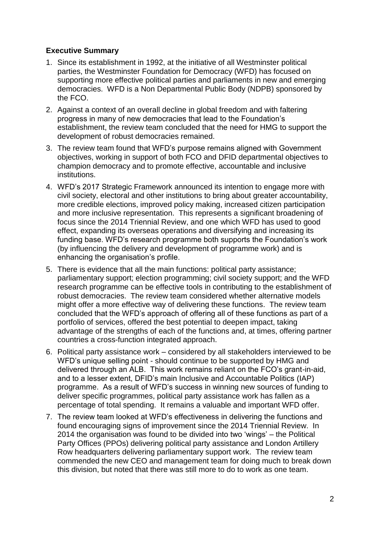# **Executive Summary**

- 1. Since its establishment in 1992, at the initiative of all Westminster political parties, the Westminster Foundation for Democracy (WFD) has focused on supporting more effective political parties and parliaments in new and emerging democracies. WFD is a Non Departmental Public Body (NDPB) sponsored by the FCO.
- 2. Against a context of an overall decline in global freedom and with faltering progress in many of new democracies that lead to the Foundation's establishment, the review team concluded that the need for HMG to support the development of robust democracies remained.
- 3. The review team found that WFD's purpose remains aligned with Government objectives, working in support of both FCO and DFID departmental objectives to champion democracy and to promote effective, accountable and inclusive institutions.
- 4. WFD's 2017 Strategic Framework announced its intention to engage more with civil society, electoral and other institutions to bring about greater accountability, more credible elections, improved policy making, increased citizen participation and more inclusive representation. This represents a significant broadening of focus since the 2014 Triennial Review, and one which WFD has used to good effect, expanding its overseas operations and diversifying and increasing its funding base. WFD's research programme both supports the Foundation's work (by influencing the delivery and development of programme work) and is enhancing the organisation's profile.
- 5. There is evidence that all the main functions: political party assistance; parliamentary support; election programming; civil society support; and the WFD research programme can be effective tools in contributing to the establishment of robust democracies. The review team considered whether alternative models might offer a more effective way of delivering these functions. The review team concluded that the WFD's approach of offering all of these functions as part of a portfolio of services, offered the best potential to deepen impact, taking advantage of the strengths of each of the functions and, at times, offering partner countries a cross-function integrated approach.
- 6. Political party assistance work considered by all stakeholders interviewed to be WFD's unique selling point - should continue to be supported by HMG and delivered through an ALB. This work remains reliant on the FCO's grant-in-aid, and to a lesser extent, DFID's main Inclusive and Accountable Politics (IAP) programme. As a result of WFD's success in winning new sources of funding to deliver specific programmes, political party assistance work has fallen as a percentage of total spending. It remains a valuable and important WFD offer.
- 7. The review team looked at WFD's effectiveness in delivering the functions and found encouraging signs of improvement since the 2014 Triennial Review. In 2014 the organisation was found to be divided into two 'wings' – the Political Party Offices (PPOs) delivering political party assistance and London Artillery Row headquarters delivering parliamentary support work. The review team commended the new CEO and management team for doing much to break down this division, but noted that there was still more to do to work as one team.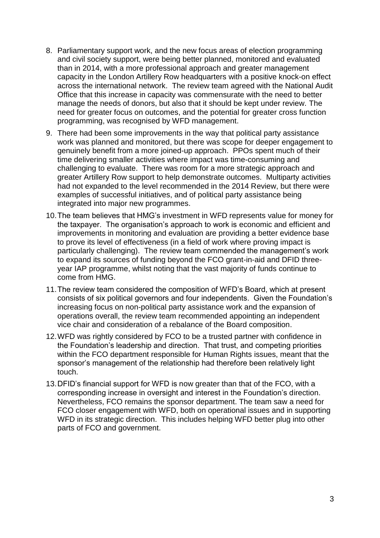- 8. Parliamentary support work, and the new focus areas of election programming and civil society support, were being better planned, monitored and evaluated than in 2014, with a more professional approach and greater management capacity in the London Artillery Row headquarters with a positive knock-on effect across the international network. The review team agreed with the National Audit Office that this increase in capacity was commensurate with the need to better manage the needs of donors, but also that it should be kept under review. The need for greater focus on outcomes, and the potential for greater cross function programming, was recognised by WFD management.
- 9. There had been some improvements in the way that political party assistance work was planned and monitored, but there was scope for deeper engagement to genuinely benefit from a more joined-up approach. PPOs spent much of their time delivering smaller activities where impact was time-consuming and challenging to evaluate. There was room for a more strategic approach and greater Artillery Row support to help demonstrate outcomes. Multiparty activities had not expanded to the level recommended in the 2014 Review, but there were examples of successful initiatives, and of political party assistance being integrated into major new programmes.
- 10.The team believes that HMG's investment in WFD represents value for money for the taxpayer. The organisation's approach to work is economic and efficient and improvements in monitoring and evaluation are providing a better evidence base to prove its level of effectiveness (in a field of work where proving impact is particularly challenging). The review team commended the management's work to expand its sources of funding beyond the FCO grant-in-aid and DFID threeyear IAP programme, whilst noting that the vast majority of funds continue to come from HMG.
- 11.The review team considered the composition of WFD's Board, which at present consists of six political governors and four independents. Given the Foundation's increasing focus on non-political party assistance work and the expansion of operations overall, the review team recommended appointing an independent vice chair and consideration of a rebalance of the Board composition.
- 12.WFD was rightly considered by FCO to be a trusted partner with confidence in the Foundation's leadership and direction. That trust, and competing priorities within the FCO department responsible for Human Rights issues, meant that the sponsor's management of the relationship had therefore been relatively light touch.
- 13.DFID's financial support for WFD is now greater than that of the FCO, with a corresponding increase in oversight and interest in the Foundation's direction. Nevertheless, FCO remains the sponsor department. The team saw a need for FCO closer engagement with WFD, both on operational issues and in supporting WFD in its strategic direction. This includes helping WFD better plug into other parts of FCO and government.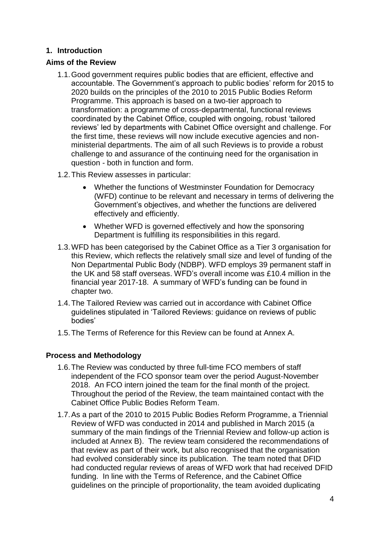# **1. Introduction**

#### **Aims of the Review**

- 1.1.Good government requires public bodies that are efficient, effective and accountable. The Government's approach to public bodies' reform for 2015 to 2020 builds on the principles of the 2010 to 2015 Public Bodies Reform Programme. This approach is based on a two-tier approach to transformation: a programme of cross-departmental, functional reviews coordinated by the Cabinet Office, coupled with ongoing, robust 'tailored reviews' led by departments with Cabinet Office oversight and challenge. For the first time, these reviews will now include executive agencies and nonministerial departments. The aim of all such Reviews is to provide a robust challenge to and assurance of the continuing need for the organisation in question - both in function and form.
- 1.2.This Review assesses in particular:
	- Whether the functions of Westminster Foundation for Democracy (WFD) continue to be relevant and necessary in terms of delivering the Government's objectives, and whether the functions are delivered effectively and efficiently.
	- Whether WFD is governed effectively and how the sponsoring Department is fulfilling its responsibilities in this regard.
- 1.3.WFD has been categorised by the Cabinet Office as a Tier 3 organisation for this Review, which reflects the relatively small size and level of funding of the Non Departmental Public Body (NDBP). WFD employs 39 permanent staff in the UK and 58 staff overseas. WFD's overall income was £10.4 million in the financial year 2017-18. A summary of WFD's funding can be found in chapter two.
- 1.4.The Tailored Review was carried out in accordance with Cabinet Office guidelines stipulated in 'Tailored Reviews: guidance on reviews of public bodies'
- 1.5.The Terms of Reference for this Review can be found at Annex A.

# **Process and Methodology**

- 1.6.The Review was conducted by three full-time FCO members of staff independent of the FCO sponsor team over the period August-November 2018. An FCO intern joined the team for the final month of the project. Throughout the period of the Review, the team maintained contact with the Cabinet Office Public Bodies Reform Team.
- 1.7.As a part of the 2010 to 2015 Public Bodies Reform Programme, a Triennial Review of WFD was conducted in 2014 and published in March 2015 (a summary of the main findings of the Triennial Review and follow-up action is included at Annex B). The review team considered the recommendations of that review as part of their work, but also recognised that the organisation had evolved considerably since its publication. The team noted that DFID had conducted regular reviews of areas of WFD work that had received DFID funding. In line with the Terms of Reference, and the Cabinet Office guidelines on the principle of proportionality, the team avoided duplicating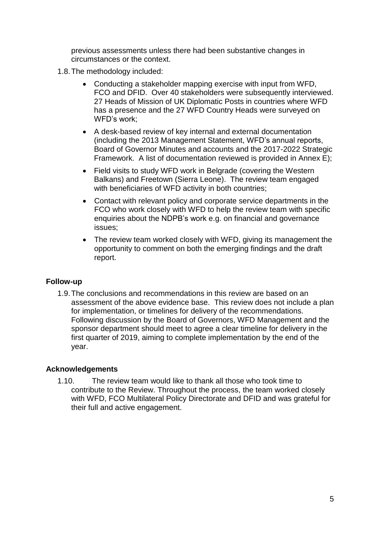previous assessments unless there had been substantive changes in circumstances or the context.

- 1.8.The methodology included:
	- Conducting a stakeholder mapping exercise with input from WFD, FCO and DFID. Over 40 stakeholders were subsequently interviewed. 27 Heads of Mission of UK Diplomatic Posts in countries where WFD has a presence and the 27 WFD Country Heads were surveyed on WFD's work;
	- A desk-based review of key internal and external documentation (including the 2013 Management Statement, WFD's annual reports, Board of Governor Minutes and accounts and the 2017-2022 Strategic Framework. A list of documentation reviewed is provided in Annex E);
	- Field visits to study WFD work in Belgrade (covering the Western Balkans) and Freetown (Sierra Leone). The review team engaged with beneficiaries of WFD activity in both countries;
	- Contact with relevant policy and corporate service departments in the FCO who work closely with WFD to help the review team with specific enquiries about the NDPB's work e.g. on financial and governance issues;
	- The review team worked closely with WFD, giving its management the opportunity to comment on both the emerging findings and the draft report.

# **Follow-up**

1.9.The conclusions and recommendations in this review are based on an assessment of the above evidence base. This review does not include a plan for implementation, or timelines for delivery of the recommendations. Following discussion by the Board of Governors, WFD Management and the sponsor department should meet to agree a clear timeline for delivery in the first quarter of 2019, aiming to complete implementation by the end of the year.

# **Acknowledgements**

1.10. The review team would like to thank all those who took time to contribute to the Review. Throughout the process, the team worked closely with WFD, FCO Multilateral Policy Directorate and DFID and was grateful for their full and active engagement.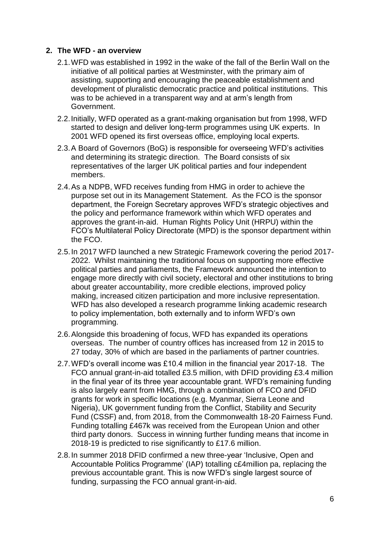# **2. The WFD - an overview**

- 2.1.WFD was established in 1992 in the wake of the fall of the Berlin Wall on the initiative of all political parties at Westminster, with the primary aim of assisting, supporting and encouraging the peaceable establishment and development of pluralistic democratic practice and political institutions. This was to be achieved in a transparent way and at arm's length from Government.
- 2.2.Initially, WFD operated as a grant-making organisation but from 1998, WFD started to design and deliver long-term programmes using UK experts. In 2001 WFD opened its first overseas office, employing local experts.
- 2.3.A Board of Governors (BoG) is responsible for overseeing WFD's activities and determining its strategic direction. The Board consists of six representatives of the larger UK political parties and four independent members.
- 2.4.As a NDPB, WFD receives funding from HMG in order to achieve the purpose set out in its Management Statement. As the FCO is the sponsor department, the Foreign Secretary approves WFD's strategic objectives and the policy and performance framework within which WFD operates and approves the grant-in-aid. Human Rights Policy Unit (HRPU) within the FCO's Multilateral Policy Directorate (MPD) is the sponsor department within the FCO.
- 2.5.In 2017 WFD launched a new Strategic Framework covering the period 2017- 2022. Whilst maintaining the traditional focus on supporting more effective political parties and parliaments, the Framework announced the intention to engage more directly with civil society, electoral and other institutions to bring about greater accountability, more credible elections, improved policy making, increased citizen participation and more inclusive representation. WFD has also developed a research programme linking academic research to policy implementation, both externally and to inform WFD's own programming.
- 2.6.Alongside this broadening of focus, WFD has expanded its operations overseas. The number of country offices has increased from 12 in 2015 to 27 today, 30% of which are based in the parliaments of partner countries.
- 2.7.WFD's overall income was £10.4 million in the financial year 2017-18. The FCO annual grant-in-aid totalled £3.5 million, with DFID providing £3.4 million in the final year of its three year accountable grant. WFD's remaining funding is also largely earnt from HMG, through a combination of FCO and DFID grants for work in specific locations (e.g. Myanmar, Sierra Leone and Nigeria), UK government funding from the Conflict, Stability and Security Fund (CSSF) and, from 2018, from the Commonwealth 18-20 Fairness Fund. Funding totalling £467k was received from the European Union and other third party donors. Success in winning further funding means that income in 2018-19 is predicted to rise significantly to £17.6 million.
- 2.8.In summer 2018 DFID confirmed a new three-year 'Inclusive, Open and Accountable Politics Programme' (IAP) totalling c£4million pa, replacing the previous accountable grant. This is now WFD's single largest source of funding, surpassing the FCO annual grant-in-aid.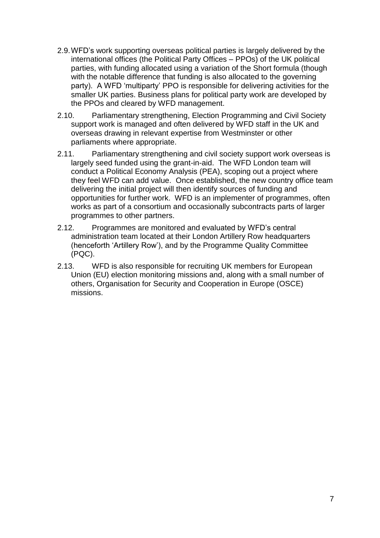- 2.9.WFD's work supporting overseas political parties is largely delivered by the international offices (the Political Party Offices – PPOs) of the UK political parties, with funding allocated using a variation of the Short formula (though with the notable difference that funding is also allocated to the governing party). A WFD 'multiparty' PPO is responsible for delivering activities for the smaller UK parties. Business plans for political party work are developed by the PPOs and cleared by WFD management.
- 2.10. Parliamentary strengthening, Election Programming and Civil Society support work is managed and often delivered by WFD staff in the UK and overseas drawing in relevant expertise from Westminster or other parliaments where appropriate.
- 2.11. Parliamentary strengthening and civil society support work overseas is largely seed funded using the grant-in-aid. The WFD London team will conduct a Political Economy Analysis (PEA), scoping out a project where they feel WFD can add value. Once established, the new country office team delivering the initial project will then identify sources of funding and opportunities for further work. WFD is an implementer of programmes, often works as part of a consortium and occasionally subcontracts parts of larger programmes to other partners.
- 2.12. Programmes are monitored and evaluated by WFD's central administration team located at their London Artillery Row headquarters (henceforth 'Artillery Row'), and by the Programme Quality Committee (PQC).
- 2.13. WFD is also responsible for recruiting UK members for European Union (EU) election monitoring missions and, along with a small number of others, Organisation for Security and Cooperation in Europe (OSCE) missions.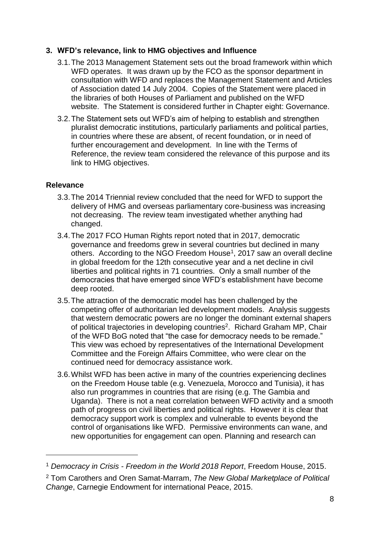# **3. WFD's relevance, link to HMG objectives and Influence**

- 3.1.The 2013 Management Statement sets out the broad framework within which WFD operates. It was drawn up by the FCO as the sponsor department in consultation with WFD and replaces the Management Statement and Articles of Association dated 14 July 2004. Copies of the Statement were placed in the libraries of both Houses of Parliament and published on the WFD website. The Statement is considered further in Chapter eight: Governance.
- 3.2.The Statement sets out WFD's aim of helping to establish and strengthen pluralist democratic institutions, particularly parliaments and political parties, in countries where these are absent, of recent foundation, or in need of further encouragement and development. In line with the Terms of Reference, the review team considered the relevance of this purpose and its link to HMG objectives.

# **Relevance**

1

- 3.3.The 2014 Triennial review concluded that the need for WFD to support the delivery of HMG and overseas parliamentary core-business was increasing not decreasing. The review team investigated whether anything had changed.
- 3.4.The 2017 FCO Human Rights report noted that in 2017, democratic governance and freedoms grew in several countries but declined in many others. According to the NGO Freedom House<sup>1</sup>, 2017 saw an overall decline in global freedom for the 12th consecutive year and a net decline in civil liberties and political rights in 71 countries. Only a small number of the democracies that have emerged since WFD's establishment have become deep rooted.
- 3.5.The attraction of the democratic model has been challenged by the competing offer of authoritarian led development models. Analysis suggests that western democratic powers are no longer the dominant external shapers of political trajectories in developing countries<sup>2</sup>. Richard Graham MP, Chair of the WFD BoG noted that "the case for democracy needs to be remade." This view was echoed by representatives of the International Development Committee and the Foreign Affairs Committee, who were clear on the continued need for democracy assistance work.
- 3.6.Whilst WFD has been active in many of the countries experiencing declines on the Freedom House table (e.g. Venezuela, Morocco and Tunisia), it has also run programmes in countries that are rising (e.g. The Gambia and Uganda). There is not a neat correlation between WFD activity and a smooth path of progress on civil liberties and political rights. However it is clear that democracy support work is complex and vulnerable to events beyond the control of organisations like WFD. Permissive environments can wane, and new opportunities for engagement can open. Planning and research can

<sup>1</sup> *Democracy in Crisis - Freedom in the World 2018 Report*, Freedom House, 2015.

<sup>2</sup> Tom Carothers and Oren Samat-Marram, *The New Global Marketplace of Political Change*, Carnegie Endowment for international Peace, 2015.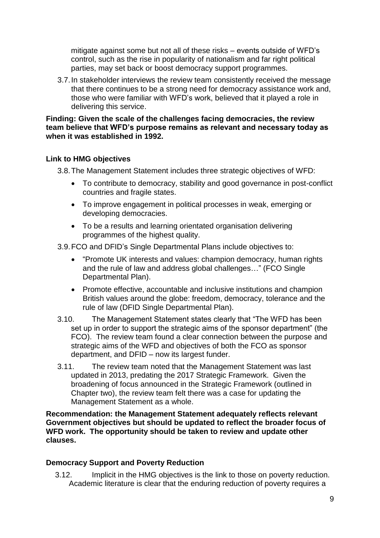mitigate against some but not all of these risks – events outside of WFD's control, such as the rise in popularity of nationalism and far right political parties, may set back or boost democracy support programmes.

3.7.In stakeholder interviews the review team consistently received the message that there continues to be a strong need for democracy assistance work and, those who were familiar with WFD's work, believed that it played a role in delivering this service.

**Finding: Given the scale of the challenges facing democracies, the review team believe that WFD's purpose remains as relevant and necessary today as when it was established in 1992.**

# **Link to HMG objectives**

3.8.The Management Statement includes three strategic objectives of WFD:

- To contribute to democracy, stability and good governance in post-conflict countries and fragile states.
- To improve engagement in political processes in weak, emerging or developing democracies.
- To be a results and learning orientated organisation delivering programmes of the highest quality.

3.9.FCO and DFID's Single Departmental Plans include objectives to:

- "Promote UK interests and values: champion democracy, human rights and the rule of law and address global challenges…" (FCO Single Departmental Plan).
- Promote effective, accountable and inclusive institutions and champion British values around the globe: freedom, democracy, tolerance and the rule of law (DFID Single Departmental Plan).
- 3.10. The Management Statement states clearly that "The WFD has been set up in order to support the strategic aims of the sponsor department" (the FCO). The review team found a clear connection between the purpose and strategic aims of the WFD and objectives of both the FCO as sponsor department, and DFID – now its largest funder.
- 3.11. The review team noted that the Management Statement was last updated in 2013, predating the 2017 Strategic Framework. Given the broadening of focus announced in the Strategic Framework (outlined in Chapter two), the review team felt there was a case for updating the Management Statement as a whole.

**Recommendation: the Management Statement adequately reflects relevant Government objectives but should be updated to reflect the broader focus of WFD work. The opportunity should be taken to review and update other clauses.**

# **Democracy Support and Poverty Reduction**

3.12. Implicit in the HMG objectives is the link to those on poverty reduction. Academic literature is clear that the enduring reduction of poverty requires a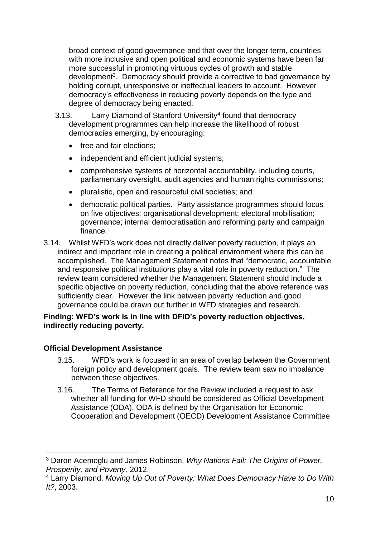broad context of good governance and that over the longer term, countries with more inclusive and open political and economic systems have been far more successful in promoting virtuous cycles of growth and stable development<sup>3</sup>. Democracy should provide a corrective to bad governance by holding corrupt, unresponsive or ineffectual leaders to account. However democracy's effectiveness in reducing poverty depends on the type and degree of democracy being enacted.

- 3.13. Larry Diamond of Stanford University<sup>4</sup> found that democracy development programmes can help increase the likelihood of robust democracies emerging, by encouraging:
	- free and fair elections:
	- independent and efficient judicial systems;
	- comprehensive systems of horizontal accountability, including courts, parliamentary oversight, audit agencies and human rights commissions;
	- pluralistic, open and resourceful civil societies; and
	- democratic political parties. Party assistance programmes should focus on five objectives: organisational development; electoral mobilisation; governance; internal democratisation and reforming party and campaign finance.
- 3.14. Whilst WFD's work does not directly deliver poverty reduction, it plays an indirect and important role in creating a political environment where this can be accomplished. The Management Statement notes that "democratic, accountable and responsive political institutions play a vital role in poverty reduction." The review team considered whether the Management Statement should include a specific objective on poverty reduction, concluding that the above reference was sufficiently clear. However the link between poverty reduction and good governance could be drawn out further in WFD strategies and research.

# **Finding: WFD's work is in line with DFID's poverty reduction objectives, indirectly reducing poverty.**

# **Official Development Assistance**

1

- 3.15. WFD's work is focused in an area of overlap between the Government foreign policy and development goals. The review team saw no imbalance between these objectives.
- 3.16. The Terms of Reference for the Review included a request to ask whether all funding for WFD should be considered as Official Development Assistance (ODA). ODA is defined by the Organisation for Economic Cooperation and Development (OECD) Development Assistance Committee

<sup>3</sup> Daron Acemoglu and James Robinson, *Why Nations Fail: The Origins of Power, Prosperity, and Poverty,* 2012.

<sup>4</sup> Larry Diamond, *Moving Up Out of Poverty: What Does Democracy Have to Do With It?*, 2003.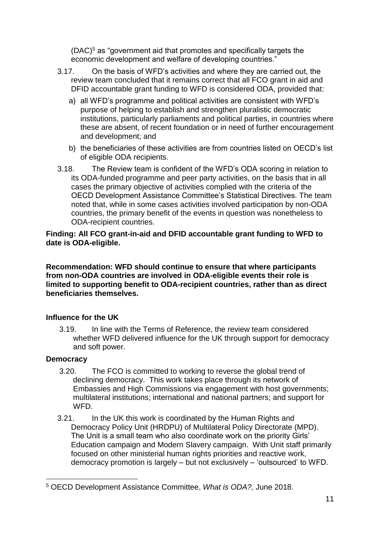$(DAC)^5$  as "government aid that promotes and specifically targets the economic development and welfare of developing countries."

- 3.17. On the basis of WFD's activities and where they are carried out, the review team concluded that it remains correct that all FCO grant in aid and DFID accountable grant funding to WFD is considered ODA, provided that:
	- a) all WFD's programme and political activities are consistent with WFD's purpose of helping to establish and strengthen pluralistic democratic institutions, particularly parliaments and political parties, in countries where these are absent, of recent foundation or in need of further encouragement and development; and
	- b) the beneficiaries of these activities are from countries listed on OECD's list of eligible ODA recipients.
- 3.18. The Review team is confident of the WFD's ODA scoring in relation to its ODA-funded programme and peer party activities, on the basis that in all cases the primary objective of activities complied with the criteria of the OECD Development Assistance Committee's Statistical Directives. The team noted that, while in some cases activities involved participation by non-ODA countries, the primary benefit of the events in question was nonetheless to ODA-recipient countries.

# **Finding: All FCO grant-in-aid and DFID accountable grant funding to WFD to date is ODA-eligible.**

**Recommendation: WFD should continue to ensure that where participants from non-ODA countries are involved in ODA-eligible events their role is limited to supporting benefit to ODA-recipient countries, rather than as direct beneficiaries themselves.**

# **Influence for the UK**

3.19. In line with the Terms of Reference, the review team considered whether WFD delivered influence for the UK through support for democracy and soft power.

# **Democracy**

1

- 3.20. The FCO is committed to working to reverse the global trend of declining democracy. This work takes place through its network of Embassies and High Commissions via engagement with host governments; multilateral institutions; international and national partners; and support for WFD.
- 3.21. In the UK this work is coordinated by the Human Rights and Democracy Policy Unit (HRDPU) of Multilateral Policy Directorate (MPD). The Unit is a small team who also coordinate work on the priority Girls' Education campaign and Modern Slavery campaign. With Unit staff primarily focused on other ministerial human rights priorities and reactive work, democracy promotion is largely – but not exclusively – 'outsourced' to WFD.

<sup>5</sup> OECD Development Assistance Committee, *What is ODA?,* June 2018.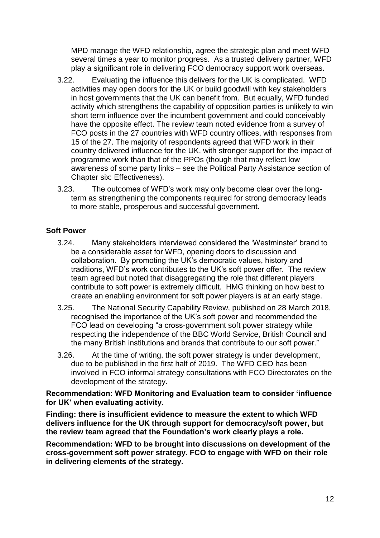MPD manage the WFD relationship, agree the strategic plan and meet WFD several times a year to monitor progress. As a trusted delivery partner, WFD play a significant role in delivering FCO democracy support work overseas.

- 3.22. Evaluating the influence this delivers for the UK is complicated. WFD activities may open doors for the UK or build goodwill with key stakeholders in host governments that the UK can benefit from. But equally, WFD funded activity which strengthens the capability of opposition parties is unlikely to win short term influence over the incumbent government and could conceivably have the opposite effect. The review team noted evidence from a survey of FCO posts in the 27 countries with WFD country offices, with responses from 15 of the 27. The majority of respondents agreed that WFD work in their country delivered influence for the UK, with stronger support for the impact of programme work than that of the PPOs (though that may reflect low awareness of some party links – see the Political Party Assistance section of Chapter six: Effectiveness).
- 3.23. The outcomes of WFD's work may only become clear over the longterm as strengthening the components required for strong democracy leads to more stable, prosperous and successful government.

# **Soft Power**

- 3.24. Many stakeholders interviewed considered the 'Westminster' brand to be a considerable asset for WFD, opening doors to discussion and collaboration. By promoting the UK's democratic values, history and traditions, WFD's work contributes to the UK's soft power offer. The review team agreed but noted that disaggregating the role that different players contribute to soft power is extremely difficult. HMG thinking on how best to create an enabling environment for soft power players is at an early stage.
- 3.25. The National Security Capability Review, published on 28 March 2018, recognised the importance of the UK's soft power and recommended the FCO lead on developing "a cross-government soft power strategy while respecting the independence of the BBC World Service, British Council and the many British institutions and brands that contribute to our soft power."
- 3.26. At the time of writing, the soft power strategy is under development, due to be published in the first half of 2019. The WFD CEO has been involved in FCO informal strategy consultations with FCO Directorates on the development of the strategy.

#### **Recommendation: WFD Monitoring and Evaluation team to consider 'influence for UK' when evaluating activity.**

**Finding: there is insufficient evidence to measure the extent to which WFD delivers influence for the UK through support for democracy/soft power, but the review team agreed that the Foundation's work clearly plays a role.**

**Recommendation: WFD to be brought into discussions on development of the cross-government soft power strategy. FCO to engage with WFD on their role in delivering elements of the strategy.**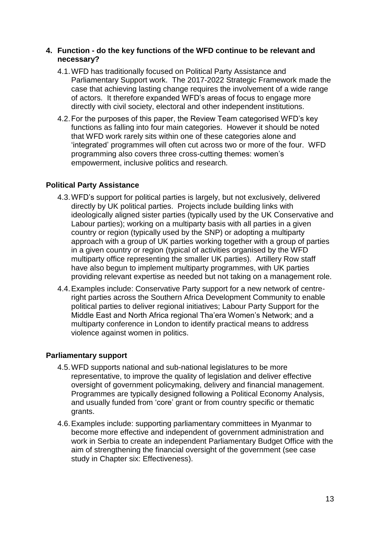#### **4. Function - do the key functions of the WFD continue to be relevant and necessary?**

- 4.1.WFD has traditionally focused on Political Party Assistance and Parliamentary Support work. The 2017-2022 Strategic Framework made the case that achieving lasting change requires the involvement of a wide range of actors. It therefore expanded WFD's areas of focus to engage more directly with civil society, electoral and other independent institutions.
- 4.2.For the purposes of this paper, the Review Team categorised WFD's key functions as falling into four main categories. However it should be noted that WFD work rarely sits within one of these categories alone and 'integrated' programmes will often cut across two or more of the four. WFD programming also covers three cross-cutting themes: women's empowerment, inclusive politics and research.

# **Political Party Assistance**

- 4.3.WFD's support for political parties is largely, but not exclusively, delivered directly by UK political parties. Projects include building links with ideologically aligned sister parties (typically used by the UK Conservative and Labour parties); working on a multiparty basis with all parties in a given country or region (typically used by the SNP) or adopting a multiparty approach with a group of UK parties working together with a group of parties in a given country or region (typical of activities organised by the WFD multiparty office representing the smaller UK parties). Artillery Row staff have also begun to implement multiparty programmes, with UK parties providing relevant expertise as needed but not taking on a management role.
- 4.4.Examples include: Conservative Party support for a new network of centreright parties across the Southern Africa Development Community to enable political parties to deliver regional initiatives; Labour Party Support for the Middle East and North Africa regional Tha'era Women's Network; and a multiparty conference in London to identify practical means to address violence against women in politics.

# **Parliamentary support**

- 4.5.WFD supports national and sub-national legislatures to be more representative, to improve the quality of legislation and deliver effective oversight of government policymaking, delivery and financial management. Programmes are typically designed following a Political Economy Analysis, and usually funded from 'core' grant or from country specific or thematic grants.
- 4.6.Examples include: supporting parliamentary committees in Myanmar to become more effective and independent of government administration and work in Serbia to create an independent Parliamentary Budget Office with the aim of strengthening the financial oversight of the government (see case study in Chapter six: Effectiveness).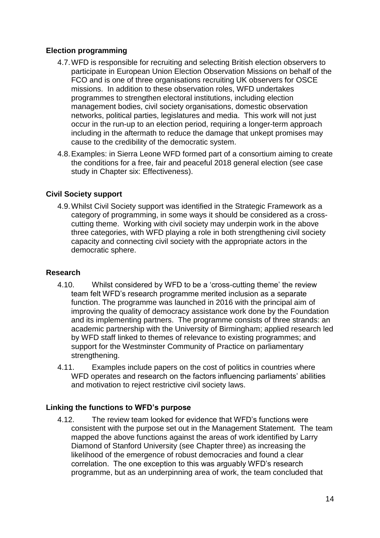# **Election programming**

- 4.7.WFD is responsible for recruiting and selecting British election observers to participate in European Union Election Observation Missions on behalf of the FCO and is one of three organisations recruiting UK observers for OSCE missions. In addition to these observation roles, WFD undertakes programmes to strengthen electoral institutions, including election management bodies, civil society organisations, domestic observation networks, political parties, legislatures and media. This work will not just occur in the run-up to an election period, requiring a longer-term approach including in the aftermath to reduce the damage that unkept promises may cause to the credibility of the democratic system.
- 4.8.Examples: in Sierra Leone WFD formed part of a consortium aiming to create the conditions for a free, fair and peaceful 2018 general election (see case study in Chapter six: Effectiveness).

# **Civil Society support**

4.9.Whilst Civil Society support was identified in the Strategic Framework as a category of programming, in some ways it should be considered as a crosscutting theme. Working with civil society may underpin work in the above three categories, with WFD playing a role in both strengthening civil society capacity and connecting civil society with the appropriate actors in the democratic sphere.

#### **Research**

- 4.10. Whilst considered by WFD to be a 'cross-cutting theme' the review team felt WFD's research programme merited inclusion as a separate function. The programme was launched in 2016 with the principal aim of improving the quality of democracy assistance work done by the Foundation and its implementing partners. The programme consists of three strands: an academic partnership with the University of Birmingham; applied research led by WFD staff linked to themes of relevance to existing programmes; and support for the Westminster Community of Practice on parliamentary strengthening.
- 4.11. Examples include papers on the cost of politics in countries where WFD operates and research on the factors influencing parliaments' abilities and motivation to reject restrictive civil society laws.

#### **Linking the functions to WFD's purpose**

4.12. The review team looked for evidence that WFD's functions were consistent with the purpose set out in the Management Statement. The team mapped the above functions against the areas of work identified by Larry Diamond of Stanford University (see Chapter three) as increasing the likelihood of the emergence of robust democracies and found a clear correlation. The one exception to this was arguably WFD's research programme, but as an underpinning area of work, the team concluded that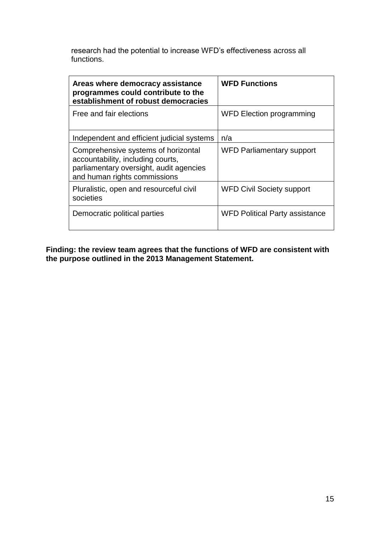research had the potential to increase WFD's effectiveness across all functions.

| Areas where democracy assistance<br>programmes could contribute to the<br>establishment of robust democracies                                       | <b>WFD Functions</b>                  |
|-----------------------------------------------------------------------------------------------------------------------------------------------------|---------------------------------------|
| Free and fair elections                                                                                                                             | <b>WFD Election programming</b>       |
| Independent and efficient judicial systems                                                                                                          | n/a                                   |
| Comprehensive systems of horizontal<br>accountability, including courts,<br>parliamentary oversight, audit agencies<br>and human rights commissions | <b>WFD Parliamentary support</b>      |
| Pluralistic, open and resourceful civil<br>societies                                                                                                | <b>WFD Civil Society support</b>      |
| Democratic political parties                                                                                                                        | <b>WFD Political Party assistance</b> |

**Finding: the review team agrees that the functions of WFD are consistent with the purpose outlined in the 2013 Management Statement.**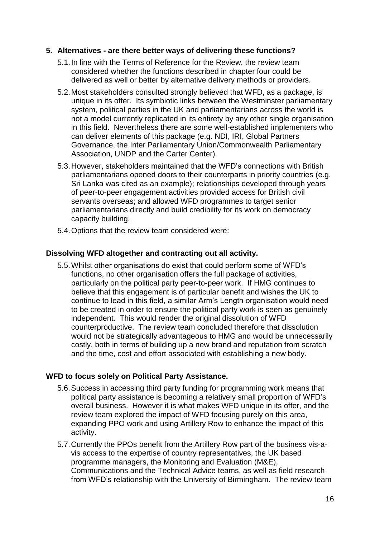#### **5. Alternatives - are there better ways of delivering these functions?**

- 5.1.In line with the Terms of Reference for the Review, the review team considered whether the functions described in chapter four could be delivered as well or better by alternative delivery methods or providers.
- 5.2.Most stakeholders consulted strongly believed that WFD, as a package, is unique in its offer. Its symbiotic links between the Westminster parliamentary system, political parties in the UK and parliamentarians across the world is not a model currently replicated in its entirety by any other single organisation in this field. Nevertheless there are some well-established implementers who can deliver elements of this package (e.g. NDI, IRI, Global Partners Governance, the Inter Parliamentary Union/Commonwealth Parliamentary Association, UNDP and the Carter Center).
- 5.3.However, stakeholders maintained that the WFD's connections with British parliamentarians opened doors to their counterparts in priority countries (e.g. Sri Lanka was cited as an example); relationships developed through years of peer-to-peer engagement activities provided access for British civil servants overseas; and allowed WFD programmes to target senior parliamentarians directly and build credibility for its work on democracy capacity building.
- 5.4.Options that the review team considered were:

#### **Dissolving WFD altogether and contracting out all activity.**

5.5.Whilst other organisations do exist that could perform some of WFD's functions, no other organisation offers the full package of activities, particularly on the political party peer-to-peer work. If HMG continues to believe that this engagement is of particular benefit and wishes the UK to continue to lead in this field, a similar Arm's Length organisation would need to be created in order to ensure the political party work is seen as genuinely independent. This would render the original dissolution of WFD counterproductive. The review team concluded therefore that dissolution would not be strategically advantageous to HMG and would be unnecessarily costly, both in terms of building up a new brand and reputation from scratch and the time, cost and effort associated with establishing a new body.

#### **WFD to focus solely on Political Party Assistance.**

- 5.6.Success in accessing third party funding for programming work means that political party assistance is becoming a relatively small proportion of WFD's overall business. However it is what makes WFD unique in its offer, and the review team explored the impact of WFD focusing purely on this area, expanding PPO work and using Artillery Row to enhance the impact of this activity.
- 5.7.Currently the PPOs benefit from the Artillery Row part of the business vis-avis access to the expertise of country representatives, the UK based programme managers, the Monitoring and Evaluation (M&E), Communications and the Technical Advice teams, as well as field research from WFD's relationship with the University of Birmingham. The review team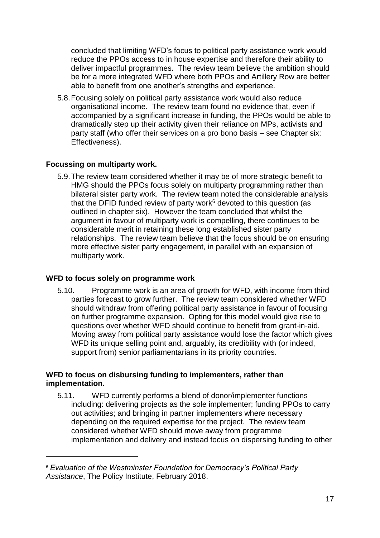concluded that limiting WFD's focus to political party assistance work would reduce the PPOs access to in house expertise and therefore their ability to deliver impactful programmes. The review team believe the ambition should be for a more integrated WFD where both PPOs and Artillery Row are better able to benefit from one another's strengths and experience.

5.8.Focusing solely on political party assistance work would also reduce organisational income. The review team found no evidence that, even if accompanied by a significant increase in funding, the PPOs would be able to dramatically step up their activity given their reliance on MPs, activists and party staff (who offer their services on a pro bono basis – see Chapter six: Effectiveness).

# **Focussing on multiparty work.**

5.9.The review team considered whether it may be of more strategic benefit to HMG should the PPOs focus solely on multiparty programming rather than bilateral sister party work. The review team noted the considerable analysis that the DFID funded review of party work $6$  devoted to this question (as outlined in chapter six). However the team concluded that whilst the argument in favour of multiparty work is compelling, there continues to be considerable merit in retaining these long established sister party relationships. The review team believe that the focus should be on ensuring more effective sister party engagement, in parallel with an expansion of multiparty work.

#### **WFD to focus solely on programme work**

1

5.10. Programme work is an area of growth for WFD, with income from third parties forecast to grow further. The review team considered whether WFD should withdraw from offering political party assistance in favour of focusing on further programme expansion. Opting for this model would give rise to questions over whether WFD should continue to benefit from grant-in-aid. Moving away from political party assistance would lose the factor which gives WFD its unique selling point and, arguably, its credibility with (or indeed, support from) senior parliamentarians in its priority countries.

# **WFD to focus on disbursing funding to implementers, rather than implementation.**

5.11. WFD currently performs a blend of donor/implementer functions including: delivering projects as the sole implementer; funding PPOs to carry out activities; and bringing in partner implementers where necessary depending on the required expertise for the project. The review team considered whether WFD should move away from programme implementation and delivery and instead focus on dispersing funding to other

<sup>6</sup> *Evaluation of the Westminster Foundation for Democracy's Political Party Assistance*, The Policy Institute, February 2018.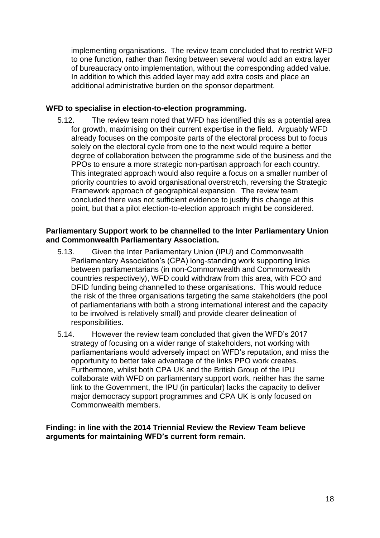implementing organisations. The review team concluded that to restrict WFD to one function, rather than flexing between several would add an extra layer of bureaucracy onto implementation, without the corresponding added value. In addition to which this added layer may add extra costs and place an additional administrative burden on the sponsor department.

# **WFD to specialise in election-to-election programming.**

5.12. The review team noted that WFD has identified this as a potential area for growth, maximising on their current expertise in the field. Arguably WFD already focuses on the composite parts of the electoral process but to focus solely on the electoral cycle from one to the next would require a better degree of collaboration between the programme side of the business and the PPOs to ensure a more strategic non-partisan approach for each country. This integrated approach would also require a focus on a smaller number of priority countries to avoid organisational overstretch, reversing the Strategic Framework approach of geographical expansion. The review team concluded there was not sufficient evidence to justify this change at this point, but that a pilot election-to-election approach might be considered.

#### **Parliamentary Support work to be channelled to the Inter Parliamentary Union and Commonwealth Parliamentary Association.**

- 5.13. Given the Inter Parliamentary Union (IPU) and Commonwealth Parliamentary Association's (CPA) long-standing work supporting links between parliamentarians (in non-Commonwealth and Commonwealth countries respectively), WFD could withdraw from this area, with FCO and DFID funding being channelled to these organisations. This would reduce the risk of the three organisations targeting the same stakeholders (the pool of parliamentarians with both a strong international interest and the capacity to be involved is relatively small) and provide clearer delineation of responsibilities.
- 5.14. However the review team concluded that given the WFD's 2017 strategy of focusing on a wider range of stakeholders, not working with parliamentarians would adversely impact on WFD's reputation, and miss the opportunity to better take advantage of the links PPO work creates. Furthermore, whilst both CPA UK and the British Group of the IPU collaborate with WFD on parliamentary support work, neither has the same link to the Government, the IPU (in particular) lacks the capacity to deliver major democracy support programmes and CPA UK is only focused on Commonwealth members.

**Finding: in line with the 2014 Triennial Review the Review Team believe arguments for maintaining WFD's current form remain.**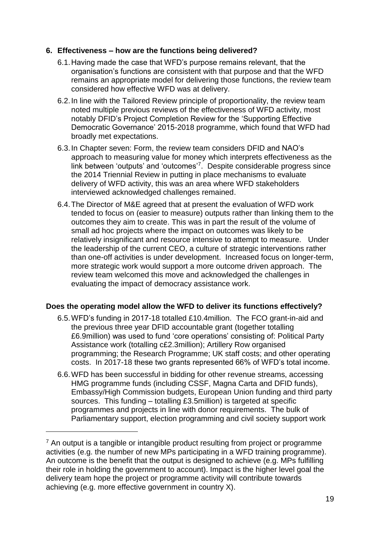# **6. Effectiveness – how are the functions being delivered?**

- 6.1.Having made the case that WFD's purpose remains relevant, that the organisation's functions are consistent with that purpose and that the WFD remains an appropriate model for delivering those functions, the review team considered how effective WFD was at delivery.
- 6.2.In line with the Tailored Review principle of proportionality, the review team noted multiple previous reviews of the effectiveness of WFD activity, most notably DFID's Project Completion Review for the 'Supporting Effective Democratic Governance' 2015-2018 programme, which found that WFD had broadly met expectations.
- 6.3.In Chapter seven: Form, the review team considers DFID and NAO's approach to measuring value for money which interprets effectiveness as the link between 'outputs' and 'outcomes'<sup>7</sup> . Despite considerable progress since the 2014 Triennial Review in putting in place mechanisms to evaluate delivery of WFD activity, this was an area where WFD stakeholders interviewed acknowledged challenges remained.
- 6.4.The Director of M&E agreed that at present the evaluation of WFD work tended to focus on (easier to measure) outputs rather than linking them to the outcomes they aim to create. This was in part the result of the volume of small ad hoc projects where the impact on outcomes was likely to be relatively insignificant and resource intensive to attempt to measure. Under the leadership of the current CEO, a culture of strategic interventions rather than one-off activities is under development. Increased focus on longer-term, more strategic work would support a more outcome driven approach. The review team welcomed this move and acknowledged the challenges in evaluating the impact of democracy assistance work.

#### **Does the operating model allow the WFD to deliver its functions effectively?**

- 6.5.WFD's funding in 2017-18 totalled £10.4million. The FCO grant-in-aid and the previous three year DFID accountable grant (together totalling £6.9million) was used to fund 'core operations' consisting of: Political Party Assistance work (totalling c£2.3million); Artillery Row organised programming; the Research Programme; UK staff costs; and other operating costs. In 2017-18 these two grants represented 66% of WFD's total income.
- 6.6.WFD has been successful in bidding for other revenue streams, accessing HMG programme funds (including CSSF, Magna Carta and DFID funds), Embassy/High Commission budgets, European Union funding and third party sources. This funding – totalling £3.5million) is targeted at specific programmes and projects in line with donor requirements. The bulk of Parliamentary support, election programming and civil society support work

1

 $<sup>7</sup>$  An output is a tangible or intangible product resulting from project or programme</sup> activities (e.g. the number of new MPs participating in a WFD training programme). An outcome is the benefit that the output is designed to achieve (e.g. MPs fulfilling their role in holding the government to account). Impact is the higher level goal the delivery team hope the project or programme activity will contribute towards achieving (e.g. more effective government in country X).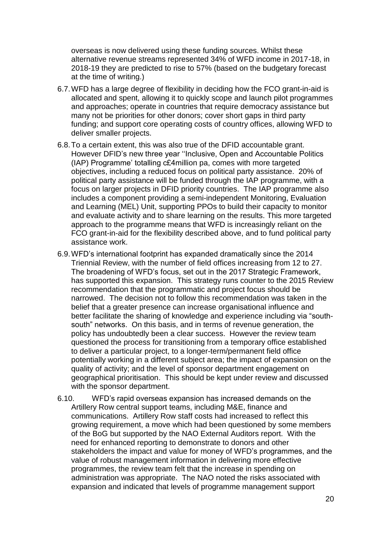overseas is now delivered using these funding sources. Whilst these alternative revenue streams represented 34% of WFD income in 2017-18, in 2018-19 they are predicted to rise to 57% (based on the budgetary forecast at the time of writing.)

- 6.7.WFD has a large degree of flexibility in deciding how the FCO grant-in-aid is allocated and spent, allowing it to quickly scope and launch pilot programmes and approaches; operate in countries that require democracy assistance but many not be priorities for other donors; cover short gaps in third party funding; and support core operating costs of country offices, allowing WFD to deliver smaller projects.
- 6.8.To a certain extent, this was also true of the DFID accountable grant. However DFID's new three year ''Inclusive, Open and Accountable Politics (IAP) Programme' totalling c£4million pa, comes with more targeted objectives, including a reduced focus on political party assistance. 20% of political party assistance will be funded through the IAP programme, with a focus on larger projects in DFID priority countries. The IAP programme also includes a component providing a semi-independent Monitoring, Evaluation and Learning (MEL) Unit, supporting PPOs to build their capacity to monitor and evaluate activity and to share learning on the results. This more targeted approach to the programme means that WFD is increasingly reliant on the FCO grant-in-aid for the flexibility described above, and to fund political party assistance work.
- 6.9.WFD's international footprint has expanded dramatically since the 2014 Triennial Review, with the number of field offices increasing from 12 to 27. The broadening of WFD's focus, set out in the 2017 Strategic Framework, has supported this expansion. This strategy runs counter to the 2015 Review recommendation that the programmatic and project focus should be narrowed. The decision not to follow this recommendation was taken in the belief that a greater presence can increase organisational influence and better facilitate the sharing of knowledge and experience including via "southsouth" networks. On this basis, and in terms of revenue generation, the policy has undoubtedly been a clear success. However the review team questioned the process for transitioning from a temporary office established to deliver a particular project, to a longer-term/permanent field office potentially working in a different subject area; the impact of expansion on the quality of activity; and the level of sponsor department engagement on geographical prioritisation. This should be kept under review and discussed with the sponsor department.
- 6.10. WFD's rapid overseas expansion has increased demands on the Artillery Row central support teams, including M&E, finance and communications. Artillery Row staff costs had increased to reflect this growing requirement, a move which had been questioned by some members of the BoG but supported by the NAO External Auditors report. With the need for enhanced reporting to demonstrate to donors and other stakeholders the impact and value for money of WFD's programmes, and the value of robust management information in delivering more effective programmes, the review team felt that the increase in spending on administration was appropriate. The NAO noted the risks associated with expansion and indicated that levels of programme management support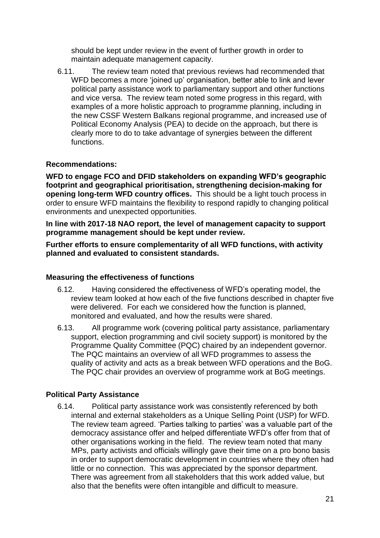should be kept under review in the event of further growth in order to maintain adequate management capacity.

6.11. The review team noted that previous reviews had recommended that WFD becomes a more 'joined up' organisation, better able to link and lever political party assistance work to parliamentary support and other functions and vice versa. The review team noted some progress in this regard, with examples of a more holistic approach to programme planning, including in the new CSSF Western Balkans regional programme, and increased use of Political Economy Analysis (PEA) to decide on the approach, but there is clearly more to do to take advantage of synergies between the different functions.

# **Recommendations:**

**WFD to engage FCO and DFID stakeholders on expanding WFD's geographic footprint and geographical prioritisation, strengthening decision-making for opening long-term WFD country offices.** This should be a light touch process in order to ensure WFD maintains the flexibility to respond rapidly to changing political environments and unexpected opportunities.

**In line with 2017-18 NAO report, the level of management capacity to support programme management should be kept under review.**

**Further efforts to ensure complementarity of all WFD functions, with activity planned and evaluated to consistent standards.**

# **Measuring the effectiveness of functions**

- 6.12. Having considered the effectiveness of WFD's operating model, the review team looked at how each of the five functions described in chapter five were delivered. For each we considered how the function is planned, monitored and evaluated, and how the results were shared.
- 6.13. All programme work (covering political party assistance, parliamentary support, election programming and civil society support) is monitored by the Programme Quality Committee (PQC) chaired by an independent governor. The PQC maintains an overview of all WFD programmes to assess the quality of activity and acts as a break between WFD operations and the BoG. The PQC chair provides an overview of programme work at BoG meetings.

# **Political Party Assistance**

6.14. Political party assistance work was consistently referenced by both internal and external stakeholders as a Unique Selling Point (USP) for WFD. The review team agreed. 'Parties talking to parties' was a valuable part of the democracy assistance offer and helped differentiate WFD's offer from that of other organisations working in the field. The review team noted that many MPs, party activists and officials willingly gave their time on a pro bono basis in order to support democratic development in countries where they often had little or no connection. This was appreciated by the sponsor department. There was agreement from all stakeholders that this work added value, but also that the benefits were often intangible and difficult to measure.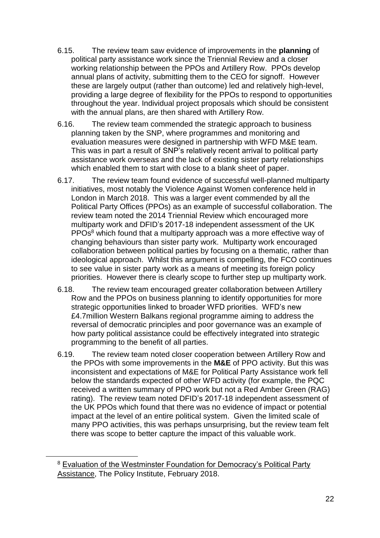- 6.15. The review team saw evidence of improvements in the **planning** of political party assistance work since the Triennial Review and a closer working relationship between the PPOs and Artillery Row. PPOs develop annual plans of activity, submitting them to the CEO for signoff. However these are largely output (rather than outcome) led and relatively high-level, providing a large degree of flexibility for the PPOs to respond to opportunities throughout the year. Individual project proposals which should be consistent with the annual plans, are then shared with Artillery Row.
- 6.16. The review team commended the strategic approach to business planning taken by the SNP, where programmes and monitoring and evaluation measures were designed in partnership with WFD M&E team. This was in part a result of SNP's relatively recent arrival to political party assistance work overseas and the lack of existing sister party relationships which enabled them to start with close to a blank sheet of paper.
- 6.17. The review team found evidence of successful well-planned multiparty initiatives, most notably the Violence Against Women conference held in London in March 2018. This was a larger event commended by all the Political Party Offices (PPOs) as an example of successful collaboration. The review team noted the 2014 Triennial Review which encouraged more multiparty work and DFID's 2017-18 independent assessment of the UK PPOs<sup>8</sup> which found that a multiparty approach was a more effective way of changing behaviours than sister party work. Multiparty work encouraged collaboration between political parties by focusing on a thematic, rather than ideological approach. Whilst this argument is compelling, the FCO continues to see value in sister party work as a means of meeting its foreign policy priorities. However there is clearly scope to further step up multiparty work.
- 6.18. The review team encouraged greater collaboration between Artillery Row and the PPOs on business planning to identify opportunities for more strategic opportunities linked to broader WFD priorities. WFD's new £4.7million Western Balkans regional programme aiming to address the reversal of democratic principles and poor governance was an example of how party political assistance could be effectively integrated into strategic programming to the benefit of all parties.
- 6.19. The review team noted closer cooperation between Artillery Row and the PPOs with some improvements in the **M&E** of PPO activity. But this was inconsistent and expectations of M&E for Political Party Assistance work fell below the standards expected of other WFD activity (for example, the PQC received a written summary of PPO work but not a Red Amber Green (RAG) rating). The review team noted DFID's 2017-18 independent assessment of the UK PPOs which found that there was no evidence of impact or potential impact at the level of an entire political system. Given the limited scale of many PPO activities, this was perhaps unsurprising, but the review team felt there was scope to better capture the impact of this valuable work.

<u>.</u>

<sup>&</sup>lt;sup>8</sup> Evaluation of the Westminster Foundation for Democracy's Political Party Assistance, The Policy Institute, February 2018.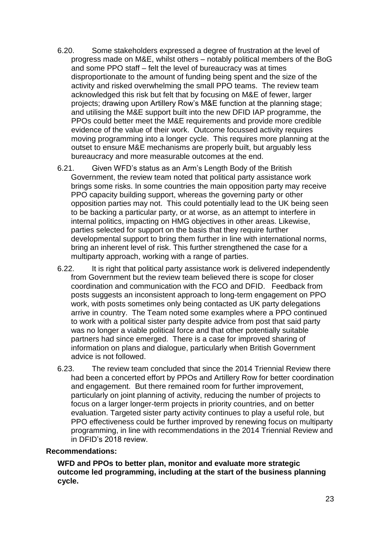- 6.20. Some stakeholders expressed a degree of frustration at the level of progress made on M&E, whilst others – notably political members of the BoG and some PPO staff – felt the level of bureaucracy was at times disproportionate to the amount of funding being spent and the size of the activity and risked overwhelming the small PPO teams. The review team acknowledged this risk but felt that by focusing on M&E of fewer, larger projects; drawing upon Artillery Row's M&E function at the planning stage; and utilising the M&E support built into the new DFID IAP programme, the PPOs could better meet the M&E requirements and provide more credible evidence of the value of their work. Outcome focussed activity requires moving programming into a longer cycle. This requires more planning at the outset to ensure M&E mechanisms are properly built, but arguably less bureaucracy and more measurable outcomes at the end.
- 6.21. Given WFD's status as an Arm's Length Body of the British Government, the review team noted that political party assistance work brings some risks. In some countries the main opposition party may receive PPO capacity building support, whereas the governing party or other opposition parties may not. This could potentially lead to the UK being seen to be backing a particular party, or at worse, as an attempt to interfere in internal politics, impacting on HMG objectives in other areas. Likewise, parties selected for support on the basis that they require further developmental support to bring them further in line with international norms, bring an inherent level of risk. This further strengthened the case for a multiparty approach, working with a range of parties.
- 6.22. It is right that political party assistance work is delivered independently from Government but the review team believed there is scope for closer coordination and communication with the FCO and DFID. Feedback from posts suggests an inconsistent approach to long-term engagement on PPO work, with posts sometimes only being contacted as UK party delegations arrive in country. The Team noted some examples where a PPO continued to work with a political sister party despite advice from post that said party was no longer a viable political force and that other potentially suitable partners had since emerged. There is a case for improved sharing of information on plans and dialogue, particularly when British Government advice is not followed.
- 6.23. The review team concluded that since the 2014 Triennial Review there had been a concerted effort by PPOs and Artillery Row for better coordination and engagement. But there remained room for further improvement, particularly on joint planning of activity, reducing the number of projects to focus on a larger longer-term projects in priority countries, and on better evaluation. Targeted sister party activity continues to play a useful role, but PPO effectiveness could be further improved by renewing focus on multiparty programming, in line with recommendations in the 2014 Triennial Review and in DFID's 2018 review.

#### **Recommendations:**

**WFD and PPOs to better plan, monitor and evaluate more strategic outcome led programming, including at the start of the business planning cycle.**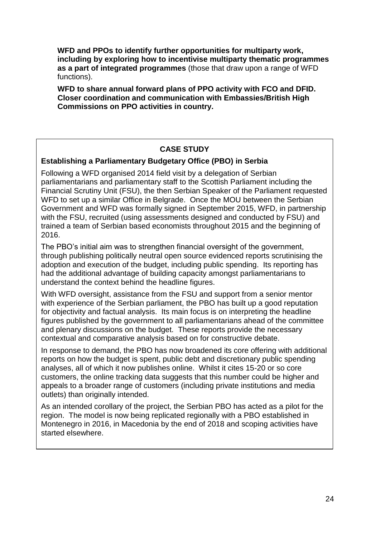**WFD and PPOs to identify further opportunities for multiparty work, including by exploring how to incentivise multiparty thematic programmes as a part of integrated programmes** (those that draw upon a range of WFD functions).

**WFD to share annual forward plans of PPO activity with FCO and DFID. Closer coordination and communication with Embassies/British High Commissions on PPO activities in country.**

# **CASE STUDY**

# **Establishing a Parliamentary Budgetary Office (PBO) in Serbia**

Following a WFD organised 2014 field visit by a delegation of Serbian parliamentarians and parliamentary staff to the Scottish Parliament including the Financial Scrutiny Unit (FSU), the then Serbian Speaker of the Parliament requested WFD to set up a similar Office in Belgrade. Once the MOU between the Serbian Government and WFD was formally signed in September 2015, WFD, in partnership with the FSU, recruited (using assessments designed and conducted by FSU) and trained a team of Serbian based economists throughout 2015 and the beginning of 2016.

The PBO's initial aim was to strengthen financial oversight of the government, through publishing politically neutral open source evidenced reports scrutinising the adoption and execution of the budget, including public spending. Its reporting has had the additional advantage of building capacity amongst parliamentarians to understand the context behind the headline figures.

With WFD oversight, assistance from the FSU and support from a senior mentor with experience of the Serbian parliament, the PBO has built up a good reputation for objectivity and factual analysis. Its main focus is on interpreting the headline figures published by the government to all parliamentarians ahead of the committee and plenary discussions on the budget. These reports provide the necessary contextual and comparative analysis based on for constructive debate.

In response to demand, the PBO has now broadened its core offering with additional reports on how the budget is spent, public debt and discretionary public spending analyses, all of which it now publishes online. Whilst it cites 15-20 or so core customers, the online tracking data suggests that this number could be higher and appeals to a broader range of customers (including private institutions and media outlets) than originally intended.

As an intended corollary of the project, the Serbian PBO has acted as a pilot for the region. The model is now being replicated regionally with a PBO established in Montenegro in 2016, in Macedonia by the end of 2018 and scoping activities have started elsewhere.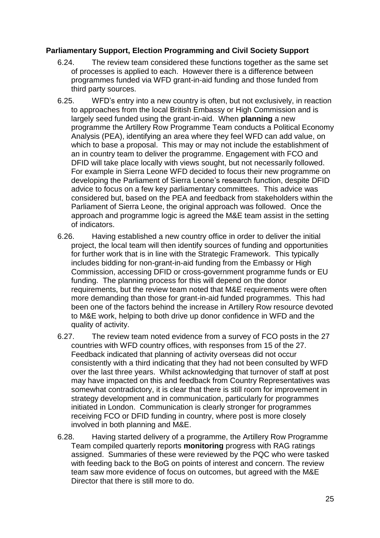# **Parliamentary Support, Election Programming and Civil Society Support**

- 6.24. The review team considered these functions together as the same set of processes is applied to each. However there is a difference between programmes funded via WFD grant-in-aid funding and those funded from third party sources.
- 6.25. WFD's entry into a new country is often, but not exclusively, in reaction to approaches from the local British Embassy or High Commission and is largely seed funded using the grant-in-aid. When **planning** a new programme the Artillery Row Programme Team conducts a Political Economy Analysis (PEA), identifying an area where they feel WFD can add value, on which to base a proposal. This may or may not include the establishment of an in country team to deliver the programme. Engagement with FCO and DFID will take place locally with views sought, but not necessarily followed. For example in Sierra Leone WFD decided to focus their new programme on developing the Parliament of Sierra Leone's research function, despite DFID advice to focus on a few key parliamentary committees. This advice was considered but, based on the PEA and feedback from stakeholders within the Parliament of Sierra Leone, the original approach was followed. Once the approach and programme logic is agreed the M&E team assist in the setting of indicators.
- 6.26. Having established a new country office in order to deliver the initial project, the local team will then identify sources of funding and opportunities for further work that is in line with the Strategic Framework. This typically includes bidding for non-grant-in-aid funding from the Embassy or High Commission, accessing DFID or cross-government programme funds or EU funding. The planning process for this will depend on the donor requirements, but the review team noted that M&E requirements were often more demanding than those for grant-in-aid funded programmes. This had been one of the factors behind the increase in Artillery Row resource devoted to M&E work, helping to both drive up donor confidence in WFD and the quality of activity.
- 6.27. The review team noted evidence from a survey of FCO posts in the 27 countries with WFD country offices, with responses from 15 of the 27. Feedback indicated that planning of activity overseas did not occur consistently with a third indicating that they had not been consulted by WFD over the last three years. Whilst acknowledging that turnover of staff at post may have impacted on this and feedback from Country Representatives was somewhat contradictory, it is clear that there is still room for improvement in strategy development and in communication, particularly for programmes initiated in London. Communication is clearly stronger for programmes receiving FCO or DFID funding in country, where post is more closely involved in both planning and M&E.
- 6.28. Having started delivery of a programme, the Artillery Row Programme Team compiled quarterly reports **monitoring** progress with RAG ratings assigned. Summaries of these were reviewed by the PQC who were tasked with feeding back to the BoG on points of interest and concern. The review team saw more evidence of focus on outcomes, but agreed with the M&E Director that there is still more to do.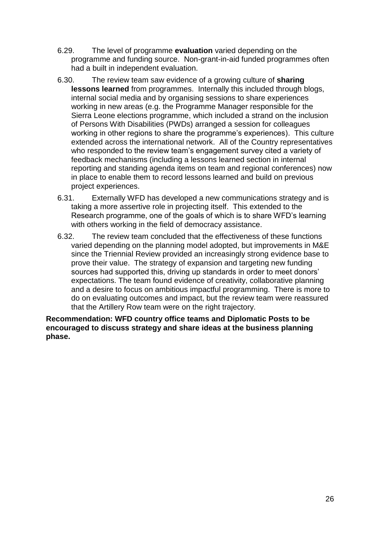- 6.29. The level of programme **evaluation** varied depending on the programme and funding source. Non-grant-in-aid funded programmes often had a built in independent evaluation.
- 6.30. The review team saw evidence of a growing culture of **sharing lessons learned** from programmes. Internally this included through blogs, internal social media and by organising sessions to share experiences working in new areas (e.g. the Programme Manager responsible for the Sierra Leone elections programme, which included a strand on the inclusion of Persons With Disabilities (PWDs) arranged a session for colleagues working in other regions to share the programme's experiences). This culture extended across the international network. All of the Country representatives who responded to the review team's engagement survey cited a variety of feedback mechanisms (including a lessons learned section in internal reporting and standing agenda items on team and regional conferences) now in place to enable them to record lessons learned and build on previous project experiences.
- 6.31. Externally WFD has developed a new communications strategy and is taking a more assertive role in projecting itself. This extended to the Research programme, one of the goals of which is to share WFD's learning with others working in the field of democracy assistance.
- 6.32. The review team concluded that the effectiveness of these functions varied depending on the planning model adopted, but improvements in M&E since the Triennial Review provided an increasingly strong evidence base to prove their value. The strategy of expansion and targeting new funding sources had supported this, driving up standards in order to meet donors' expectations. The team found evidence of creativity, collaborative planning and a desire to focus on ambitious impactful programming. There is more to do on evaluating outcomes and impact, but the review team were reassured that the Artillery Row team were on the right trajectory.

**Recommendation: WFD country office teams and Diplomatic Posts to be encouraged to discuss strategy and share ideas at the business planning phase.**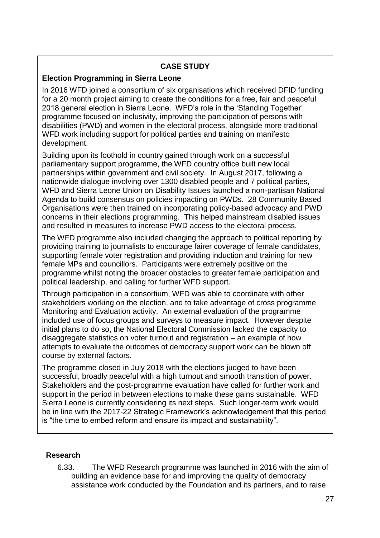# **CASE STUDY**

# **Election Programming in Sierra Leone**

In 2016 WFD joined a consortium of six organisations which received DFID funding for a 20 month project aiming to create the conditions for a free, fair and peaceful 2018 general election in Sierra Leone. WFD's role in the 'Standing Together' programme focused on inclusivity, improving the participation of persons with disabilities (PWD) and women in the electoral process, alongside more traditional WFD work including support for political parties and training on manifesto development.

Building upon its foothold in country gained through work on a successful parliamentary support programme, the WFD country office built new local partnerships within government and civil society. In August 2017, following a nationwide dialogue involving over 1300 disabled people and 7 political parties, WFD and Sierra Leone Union on Disability Issues launched a non-partisan National Agenda to build consensus on policies impacting on PWDs. 28 Community Based Organisations were then trained on incorporating policy-based advocacy and PWD concerns in their elections programming. This helped mainstream disabled issues and resulted in measures to increase PWD access to the electoral process.

The WFD programme also included changing the approach to political reporting by providing training to journalists to encourage fairer coverage of female candidates, supporting female voter registration and providing induction and training for new female MPs and councillors. Participants were extremely positive on the programme whilst noting the broader obstacles to greater female participation and political leadership, and calling for further WFD support.

Through participation in a consortium, WFD was able to coordinate with other stakeholders working on the election, and to take advantage of cross programme Monitoring and Evaluation activity. An external evaluation of the programme included use of focus groups and surveys to measure impact. However despite initial plans to do so, the National Electoral Commission lacked the capacity to disaggregate statistics on voter turnout and registration – an example of how attempts to evaluate the outcomes of democracy support work can be blown off course by external factors.

The programme closed in July 2018 with the elections judged to have been successful, broadly peaceful with a high turnout and smooth transition of power. Stakeholders and the post-programme evaluation have called for further work and support in the period in between elections to make these gains sustainable. WFD Sierra Leone is currently considering its next steps. Such longer-term work would be in line with the 2017-22 Strategic Framework's acknowledgement that this period is "the time to embed reform and ensure its impact and sustainability".

# **Research**

6.33. The WFD Research programme was launched in 2016 with the aim of building an evidence base for and improving the quality of democracy assistance work conducted by the Foundation and its partners, and to raise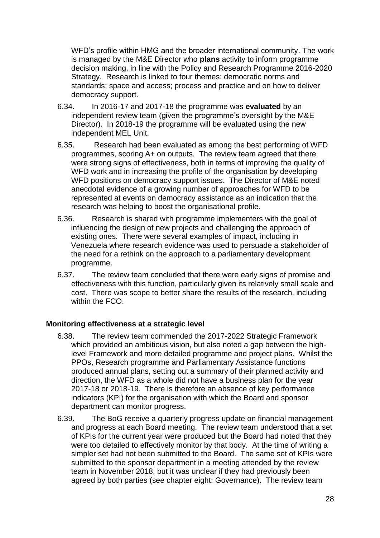WFD's profile within HMG and the broader international community. The work is managed by the M&E Director who **plans** activity to inform programme decision making, in line with the Policy and Research Programme 2016-2020 Strategy. Research is linked to four themes: democratic norms and standards; space and access; process and practice and on how to deliver democracy support.

- 6.34. In 2016-17 and 2017-18 the programme was **evaluated** by an independent review team (given the programme's oversight by the M&E Director). In 2018-19 the programme will be evaluated using the new independent MEL Unit.
- 6.35. Research had been evaluated as among the best performing of WFD programmes, scoring A+ on outputs. The review team agreed that there were strong signs of effectiveness, both in terms of improving the quality of WFD work and in increasing the profile of the organisation by developing WFD positions on democracy support issues. The Director of M&E noted anecdotal evidence of a growing number of approaches for WFD to be represented at events on democracy assistance as an indication that the research was helping to boost the organisational profile.
- 6.36. Research is shared with programme implementers with the goal of influencing the design of new projects and challenging the approach of existing ones. There were several examples of impact, including in Venezuela where research evidence was used to persuade a stakeholder of the need for a rethink on the approach to a parliamentary development programme.
- 6.37. The review team concluded that there were early signs of promise and effectiveness with this function, particularly given its relatively small scale and cost. There was scope to better share the results of the research, including within the FCO.

#### **Monitoring effectiveness at a strategic level**

- 6.38. The review team commended the 2017-2022 Strategic Framework which provided an ambitious vision, but also noted a gap between the highlevel Framework and more detailed programme and project plans. Whilst the PPOs, Research programme and Parliamentary Assistance functions produced annual plans, setting out a summary of their planned activity and direction, the WFD as a whole did not have a business plan for the year 2017-18 or 2018-19. There is therefore an absence of key performance indicators (KPI) for the organisation with which the Board and sponsor department can monitor progress.
- 6.39. The BoG receive a quarterly progress update on financial management and progress at each Board meeting. The review team understood that a set of KPIs for the current year were produced but the Board had noted that they were too detailed to effectively monitor by that body. At the time of writing a simpler set had not been submitted to the Board. The same set of KPIs were submitted to the sponsor department in a meeting attended by the review team in November 2018, but it was unclear if they had previously been agreed by both parties (see chapter eight: Governance). The review team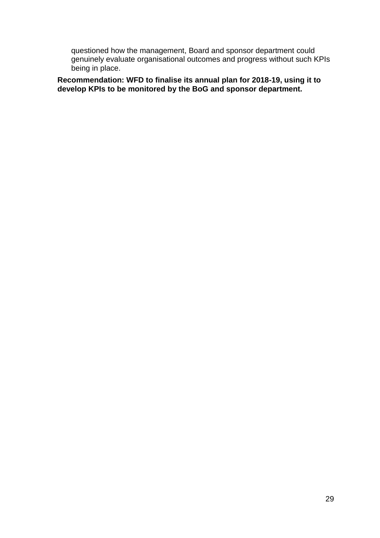questioned how the management, Board and sponsor department could genuinely evaluate organisational outcomes and progress without such KPIs being in place.

**Recommendation: WFD to finalise its annual plan for 2018-19, using it to develop KPIs to be monitored by the BoG and sponsor department.**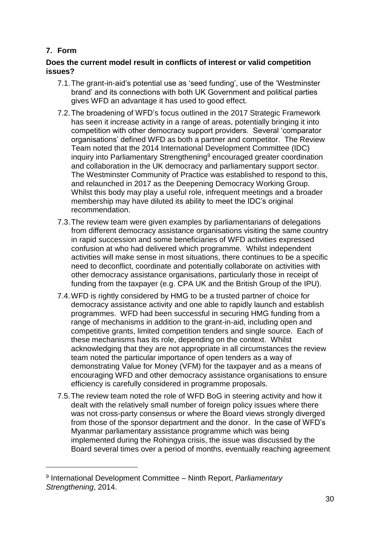# **7. Form**

1

# **Does the current model result in conflicts of interest or valid competition issues?**

- 7.1.The grant-in-aid's potential use as 'seed funding', use of the 'Westminster brand' and its connections with both UK Government and political parties gives WFD an advantage it has used to good effect.
- 7.2.The broadening of WFD's focus outlined in the 2017 Strategic Framework has seen it increase activity in a range of areas, potentially bringing it into competition with other democracy support providers. Several 'comparator organisations' defined WFD as both a partner and competitor. The Review Team noted that the 2014 International Development Committee (IDC) inquiry into Parliamentary Strengthening<sup>9</sup> encouraged greater coordination and collaboration in the UK democracy and parliamentary support sector. The Westminster Community of Practice was established to respond to this, and relaunched in 2017 as the Deepening Democracy Working Group. Whilst this body may play a useful role, infrequent meetings and a broader membership may have diluted its ability to meet the IDC's original recommendation.
- 7.3.The review team were given examples by parliamentarians of delegations from different democracy assistance organisations visiting the same country in rapid succession and some beneficiaries of WFD activities expressed confusion at who had delivered which programme. Whilst independent activities will make sense in most situations, there continues to be a specific need to deconflict, coordinate and potentially collaborate on activities with other democracy assistance organisations, particularly those in receipt of funding from the taxpayer (e.g. CPA UK and the British Group of the IPU).
- 7.4.WFD is rightly considered by HMG to be a trusted partner of choice for democracy assistance activity and one able to rapidly launch and establish programmes. WFD had been successful in securing HMG funding from a range of mechanisms in addition to the grant-in-aid, including open and competitive grants, limited competition tenders and single source. Each of these mechanisms has its role, depending on the context. Whilst acknowledging that they are not appropriate in all circumstances the review team noted the particular importance of open tenders as a way of demonstrating Value for Money (VFM) for the taxpayer and as a means of encouraging WFD and other democracy assistance organisations to ensure efficiency is carefully considered in programme proposals.
- 7.5.The review team noted the role of WFD BoG in steering activity and how it dealt with the relatively small number of foreign policy issues where there was not cross-party consensus or where the Board views strongly diverged from those of the sponsor department and the donor. In the case of WFD's Myanmar parliamentary assistance programme which was being implemented during the Rohingya crisis, the issue was discussed by the Board several times over a period of months, eventually reaching agreement

<sup>9</sup> International Development Committee – Ninth Report, *Parliamentary Strengthening*, 2014.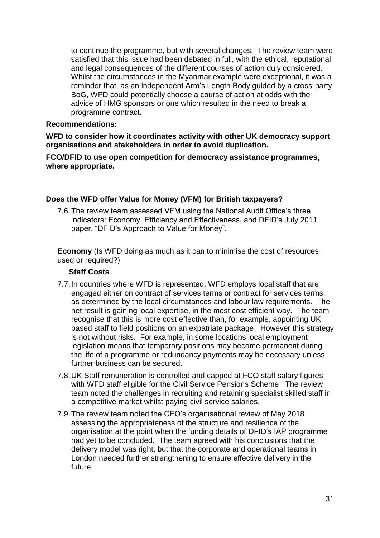to continue the programme, but with several changes. The review team were satisfied that this issue had been debated in full, with the ethical, reputational and legal consequences of the different courses of action duly considered. Whilst the circumstances in the Myanmar example were exceptional, it was a reminder that, as an independent Arm's Length Body guided by a cross-party BoG, WFD could potentially choose a course of action at odds with the advice of HMG sponsors or one which resulted in the need to break a programme contract.

#### **Recommendations:**

**WFD to consider how it coordinates activity with other UK democracy support organisations and stakeholders in order to avoid duplication.**

**FCO/DFID to use open competition for democracy assistance programmes, where appropriate.**

# **Does the WFD offer Value for Money (VFM) for British taxpayers?**

7.6.The review team assessed VFM using the National Audit Office's three indicators: Economy, Efficiency and Effectiveness, and DFID's July 2011 paper, "DFID's Approach to Value for Money".

**Economy** (Is WFD doing as much as it can to minimise the cost of resources used or required?)

# **Staff Costs**

- 7.7.In countries where WFD is represented, WFD employs local staff that are engaged either on contract of services terms or contract for services terms, as determined by the local circumstances and labour law requirements. The net result is gaining local expertise, in the most cost efficient way. The team recognise that this is more cost effective than, for example, appointing UK based staff to field positions on an expatriate package. However this strategy is not without risks. For example, in some locations local employment legislation means that temporary positions may become permanent during the life of a programme or redundancy payments may be necessary unless further business can be secured.
- 7.8.UK Staff remuneration is controlled and capped at FCO staff salary figures with WFD staff eligible for the Civil Service Pensions Scheme. The review team noted the challenges in recruiting and retaining specialist skilled staff in a competitive market whilst paying civil service salaries.
- 7.9.The review team noted the CEO's organisational review of May 2018 assessing the appropriateness of the structure and resilience of the organisation at the point when the funding details of DFID's IAP programme had yet to be concluded. The team agreed with his conclusions that the delivery model was right, but that the corporate and operational teams in London needed further strengthening to ensure effective delivery in the future.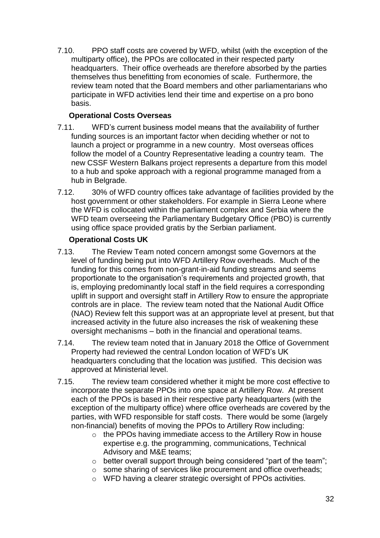7.10. PPO staff costs are covered by WFD, whilst (with the exception of the multiparty office), the PPOs are collocated in their respected party headquarters. Their office overheads are therefore absorbed by the parties themselves thus benefitting from economies of scale. Furthermore, the review team noted that the Board members and other parliamentarians who participate in WFD activities lend their time and expertise on a pro bono basis.

# **Operational Costs Overseas**

- 7.11. WFD's current business model means that the availability of further funding sources is an important factor when deciding whether or not to launch a project or programme in a new country. Most overseas offices follow the model of a Country Representative leading a country team. The new CSSF Western Balkans project represents a departure from this model to a hub and spoke approach with a regional programme managed from a hub in Belgrade.
- 7.12. 30% of WFD country offices take advantage of facilities provided by the host government or other stakeholders. For example in Sierra Leone where the WFD is collocated within the parliament complex and Serbia where the WFD team overseeing the Parliamentary Budgetary Office (PBO) is currently using office space provided gratis by the Serbian parliament.

# **Operational Costs UK**

- 7.13. The Review Team noted concern amongst some Governors at the level of funding being put into WFD Artillery Row overheads. Much of the funding for this comes from non-grant-in-aid funding streams and seems proportionate to the organisation's requirements and projected growth, that is, employing predominantly local staff in the field requires a corresponding uplift in support and oversight staff in Artillery Row to ensure the appropriate controls are in place. The review team noted that the National Audit Office (NAO) Review felt this support was at an appropriate level at present, but that increased activity in the future also increases the risk of weakening these oversight mechanisms – both in the financial and operational teams.
- 7.14. The review team noted that in January 2018 the Office of Government Property had reviewed the central London location of WFD's UK headquarters concluding that the location was justified. This decision was approved at Ministerial level.
- 7.15. The review team considered whether it might be more cost effective to incorporate the separate PPOs into one space at Artillery Row. At present each of the PPOs is based in their respective party headquarters (with the exception of the multiparty office) where office overheads are covered by the parties, with WFD responsible for staff costs. There would be some (largely non-financial) benefits of moving the PPOs to Artillery Row including:
	- o the PPOs having immediate access to the Artillery Row in house expertise e.g. the programming, communications, Technical Advisory and M&E teams;
	- o better overall support through being considered "part of the team";
	- o some sharing of services like procurement and office overheads;
	- o WFD having a clearer strategic oversight of PPOs activities.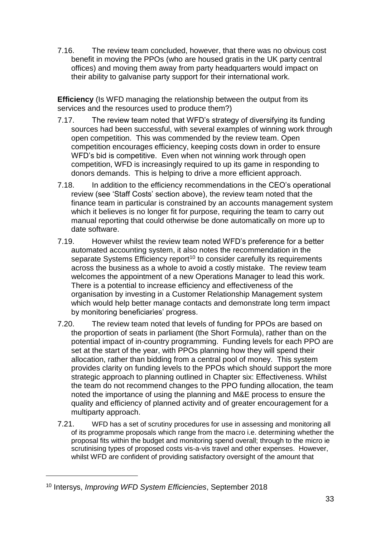7.16. The review team concluded, however, that there was no obvious cost benefit in moving the PPOs (who are housed gratis in the UK party central offices) and moving them away from party headquarters would impact on their ability to galvanise party support for their international work.

**Efficiency** (Is WFD managing the relationship between the output from its services and the resources used to produce them?)

- 7.17. The review team noted that WFD's strategy of diversifying its funding sources had been successful, with several examples of winning work through open competition. This was commended by the review team. Open competition encourages efficiency, keeping costs down in order to ensure WFD's bid is competitive. Even when not winning work through open competition, WFD is increasingly required to up its game in responding to donors demands. This is helping to drive a more efficient approach.
- 7.18. In addition to the efficiency recommendations in the CEO's operational review (see 'Staff Costs' section above), the review team noted that the finance team in particular is constrained by an accounts management system which it believes is no longer fit for purpose, requiring the team to carry out manual reporting that could otherwise be done automatically on more up to date software.
- 7.19. However whilst the review team noted WFD's preference for a better automated accounting system, it also notes the recommendation in the separate Systems Efficiency report<sup>10</sup> to consider carefully its requirements across the business as a whole to avoid a costly mistake. The review team welcomes the appointment of a new Operations Manager to lead this work. There is a potential to increase efficiency and effectiveness of the organisation by investing in a Customer Relationship Management system which would help better manage contacts and demonstrate long term impact by monitoring beneficiaries' progress.
- 7.20. The review team noted that levels of funding for PPOs are based on the proportion of seats in parliament (the Short Formula), rather than on the potential impact of in-country programming. Funding levels for each PPO are set at the start of the year, with PPOs planning how they will spend their allocation, rather than bidding from a central pool of money. This system provides clarity on funding levels to the PPOs which should support the more strategic approach to planning outlined in Chapter six: Effectiveness. Whilst the team do not recommend changes to the PPO funding allocation, the team noted the importance of using the planning and M&E process to ensure the quality and efficiency of planned activity and of greater encouragement for a multiparty approach.
- 7.21. WFD has a set of scrutiny procedures for use in assessing and monitoring all of its programme proposals which range from the macro i.e. determining whether the proposal fits within the budget and monitoring spend overall; through to the micro ie scrutinising types of proposed costs vis-a-vis travel and other expenses. However, whilst WFD are confident of providing satisfactory oversight of the amount that

1

<sup>10</sup> Intersys, *Improving WFD System Efficiencies*, September 2018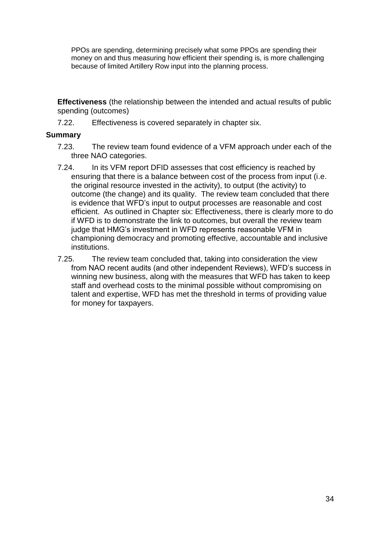PPOs are spending, determining precisely what some PPOs are spending their money on and thus measuring how efficient their spending is, is more challenging because of limited Artillery Row input into the planning process.

**Effectiveness** (the relationship between the intended and actual results of public spending (outcomes)

7.22. Effectiveness is covered separately in chapter six.

#### **Summary**

- 7.23. The review team found evidence of a VFM approach under each of the three NAO categories.
- 7.24. In its VFM report DFID assesses that cost efficiency is reached by ensuring that there is a balance between cost of the process from input (i.e. the original resource invested in the activity), to output (the activity) to outcome (the change) and its quality. The review team concluded that there is evidence that WFD's input to output processes are reasonable and cost efficient. As outlined in Chapter six: Effectiveness, there is clearly more to do if WFD is to demonstrate the link to outcomes, but overall the review team judge that HMG's investment in WFD represents reasonable VFM in championing democracy and promoting effective, accountable and inclusive institutions.
- 7.25. The review team concluded that, taking into consideration the view from NAO recent audits (and other independent Reviews), WFD's success in winning new business, along with the measures that WFD has taken to keep staff and overhead costs to the minimal possible without compromising on talent and expertise, WFD has met the threshold in terms of providing value for money for taxpayers.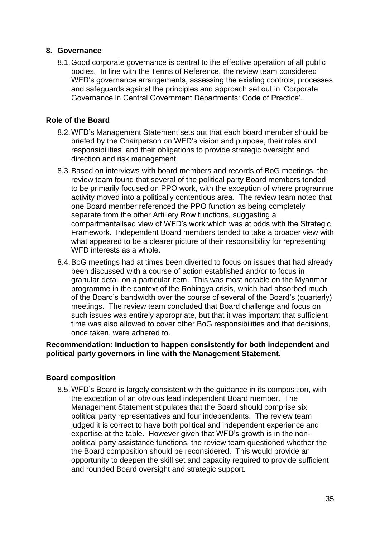#### **8. Governance**

8.1.Good corporate governance is central to the effective operation of all public bodies. In line with the Terms of Reference, the review team considered WFD's governance arrangements, assessing the existing controls, processes and safeguards against the principles and approach set out in 'Corporate Governance in Central Government Departments: Code of Practice'.

# **Role of the Board**

- 8.2.WFD's Management Statement sets out that each board member should be briefed by the Chairperson on WFD's vision and purpose, their roles and responsibilities and their obligations to provide strategic oversight and direction and risk management.
- 8.3.Based on interviews with board members and records of BoG meetings, the review team found that several of the political party Board members tended to be primarily focused on PPO work, with the exception of where programme activity moved into a politically contentious area. The review team noted that one Board member referenced the PPO function as being completely separate from the other Artillery Row functions, suggesting a compartmentalised view of WFD's work which was at odds with the Strategic Framework. Independent Board members tended to take a broader view with what appeared to be a clearer picture of their responsibility for representing WFD interests as a whole.
- 8.4.BoG meetings had at times been diverted to focus on issues that had already been discussed with a course of action established and/or to focus in granular detail on a particular item. This was most notable on the Myanmar programme in the context of the Rohingya crisis, which had absorbed much of the Board's bandwidth over the course of several of the Board's (quarterly) meetings. The review team concluded that Board challenge and focus on such issues was entirely appropriate, but that it was important that sufficient time was also allowed to cover other BoG responsibilities and that decisions, once taken, were adhered to.

# **Recommendation: Induction to happen consistently for both independent and political party governors in line with the Management Statement.**

#### **Board composition**

8.5.WFD's Board is largely consistent with the guidance in its composition, with the exception of an obvious lead independent Board member. The Management Statement stipulates that the Board should comprise six political party representatives and four independents. The review team judged it is correct to have both political and independent experience and expertise at the table. However given that WFD's growth is in the nonpolitical party assistance functions, the review team questioned whether the the Board composition should be reconsidered. This would provide an opportunity to deepen the skill set and capacity required to provide sufficient and rounded Board oversight and strategic support.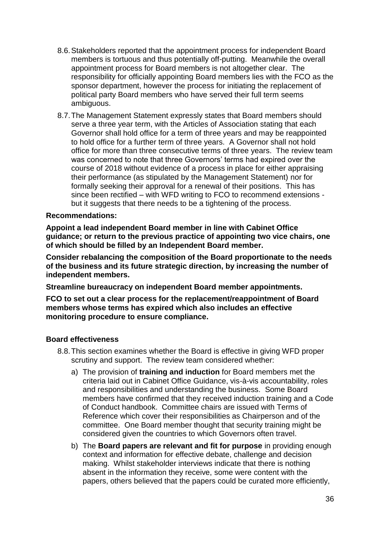- 8.6.Stakeholders reported that the appointment process for independent Board members is tortuous and thus potentially off-putting. Meanwhile the overall appointment process for Board members is not altogether clear. The responsibility for officially appointing Board members lies with the FCO as the sponsor department, however the process for initiating the replacement of political party Board members who have served their full term seems ambiguous.
- 8.7.The Management Statement expressly states that Board members should serve a three year term, with the Articles of Association stating that each Governor shall hold office for a term of three years and may be reappointed to hold office for a further term of three years. A Governor shall not hold office for more than three consecutive terms of three years. The review team was concerned to note that three Governors' terms had expired over the course of 2018 without evidence of a process in place for either appraising their performance (as stipulated by the Management Statement) nor for formally seeking their approval for a renewal of their positions. This has since been rectified – with WFD writing to FCO to recommend extensions but it suggests that there needs to be a tightening of the process.

#### **Recommendations:**

**Appoint a lead independent Board member in line with Cabinet Office guidance; or return to the previous practice of appointing two vice chairs, one of which should be filled by an Independent Board member.**

**Consider rebalancing the composition of the Board proportionate to the needs of the business and its future strategic direction, by increasing the number of independent members.**

**Streamline bureaucracy on independent Board member appointments.**

**FCO to set out a clear process for the replacement/reappointment of Board members whose terms has expired which also includes an effective monitoring procedure to ensure compliance.**

#### **Board effectiveness**

- 8.8.This section examines whether the Board is effective in giving WFD proper scrutiny and support. The review team considered whether:
	- a) The provision of **training and induction** for Board members met the criteria laid out in Cabinet Office Guidance, vis-à-vis accountability, roles and responsibilities and understanding the business. Some Board members have confirmed that they received induction training and a Code of Conduct handbook. Committee chairs are issued with Terms of Reference which cover their responsibilities as Chairperson and of the committee. One Board member thought that security training might be considered given the countries to which Governors often travel.
	- b) The **Board papers are relevant and fit for purpose** in providing enough context and information for effective debate, challenge and decision making. Whilst stakeholder interviews indicate that there is nothing absent in the information they receive, some were content with the papers, others believed that the papers could be curated more efficiently,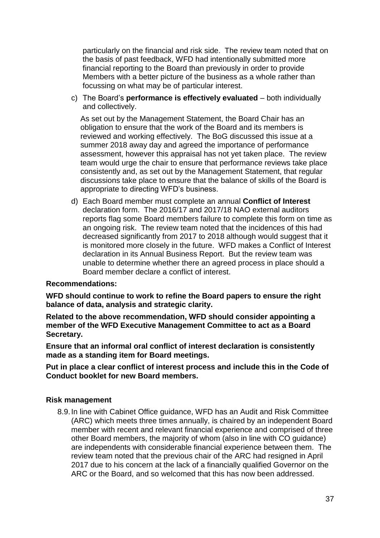particularly on the financial and risk side. The review team noted that on the basis of past feedback, WFD had intentionally submitted more financial reporting to the Board than previously in order to provide Members with a better picture of the business as a whole rather than focussing on what may be of particular interest.

c) The Board's **performance is effectively evaluated** – both individually and collectively.

As set out by the Management Statement, the Board Chair has an obligation to ensure that the work of the Board and its members is reviewed and working effectively. The BoG discussed this issue at a summer 2018 away day and agreed the importance of performance assessment, however this appraisal has not yet taken place. The review team would urge the chair to ensure that performance reviews take place consistently and, as set out by the Management Statement, that regular discussions take place to ensure that the balance of skills of the Board is appropriate to directing WFD's business.

d) Each Board member must complete an annual **Conflict of Interest** declaration form. The 2016/17 and 2017/18 NAO external auditors reports flag some Board members failure to complete this form on time as an ongoing risk. The review team noted that the incidences of this had decreased significantly from 2017 to 2018 although would suggest that it is monitored more closely in the future. WFD makes a Conflict of Interest declaration in its Annual Business Report. But the review team was unable to determine whether there an agreed process in place should a Board member declare a conflict of interest.

#### **Recommendations:**

**WFD should continue to work to refine the Board papers to ensure the right balance of data, analysis and strategic clarity.**

**Related to the above recommendation, WFD should consider appointing a member of the WFD Executive Management Committee to act as a Board Secretary.**

**Ensure that an informal oral conflict of interest declaration is consistently made as a standing item for Board meetings.**

**Put in place a clear conflict of interest process and include this in the Code of Conduct booklet for new Board members.**

#### **Risk management**

8.9.In line with Cabinet Office guidance, WFD has an Audit and Risk Committee (ARC) which meets three times annually, is chaired by an independent Board member with recent and relevant financial experience and comprised of three other Board members, the majority of whom (also in line with CO guidance) are independents with considerable financial experience between them. The review team noted that the previous chair of the ARC had resigned in April 2017 due to his concern at the lack of a financially qualified Governor on the ARC or the Board, and so welcomed that this has now been addressed.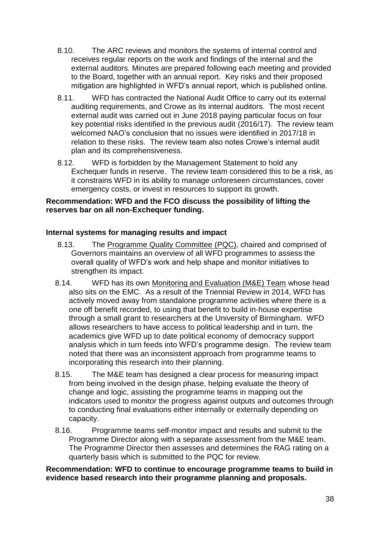- 8.10. The ARC reviews and monitors the systems of internal control and receives regular reports on the work and findings of the internal and the external auditors. Minutes are prepared following each meeting and provided to the Board, together with an annual report. Key risks and their proposed mitigation are highlighted in WFD's annual report, which is published online.
- 8.11. WFD has contracted the National Audit Office to carry out its external auditing requirements, and Crowe as its internal auditors. The most recent external audit was carried out in June 2018 paying particular focus on four key potential risks identified in the previous audit (2016/17). The review team welcomed NAO's conclusion that no issues were identified in 2017/18 in relation to these risks. The review team also notes Crowe's internal audit plan and its comprehensiveness.
- 8.12. WFD is forbidden by the Management Statement to hold any Exchequer funds in reserve. The review team considered this to be a risk, as it constrains WFD in its ability to manage unforeseen circumstances, cover emergency costs, or invest in resources to support its growth.

# **Recommendation: WFD and the FCO discuss the possibility of lifting the reserves bar on all non-Exchequer funding.**

# **Internal systems for managing results and impact**

- 8.13. The Programme Quality Committee (PQC), chaired and comprised of Governors maintains an overview of all WFD programmes to assess the overall quality of WFD's work and help shape and monitor initiatives to strengthen its impact.
- 8.14. WFD has its own Monitoring and Evaluation (M&E) Team whose head also sits on the EMC. As a result of the Triennial Review in 2014, WFD has actively moved away from standalone programme activities where there is a one off benefit recorded, to using that benefit to build in-house expertise through a small grant to researchers at the University of Birmingham. WFD allows researchers to have access to political leadership and in turn, the academics give WFD up to date political economy of democracy support analysis which in turn feeds into WFD's programme design. The review team noted that there was an inconsistent approach from programme teams to incorporating this research into their planning.
- 8.15. The M&E team has designed a clear process for measuring impact from being involved in the design phase, helping evaluate the theory of change and logic, assisting the programme teams in mapping out the indicators used to monitor the progress against outputs and outcomes through to conducting final evaluations either internally or externally depending on capacity.
- 8.16. Programme teams self-monitor impact and results and submit to the Programme Director along with a separate assessment from the M&E team. The Programme Director then assesses and determines the RAG rating on a quarterly basis which is submitted to the PQC for review.

#### **Recommendation: WFD to continue to encourage programme teams to build in evidence based research into their programme planning and proposals.**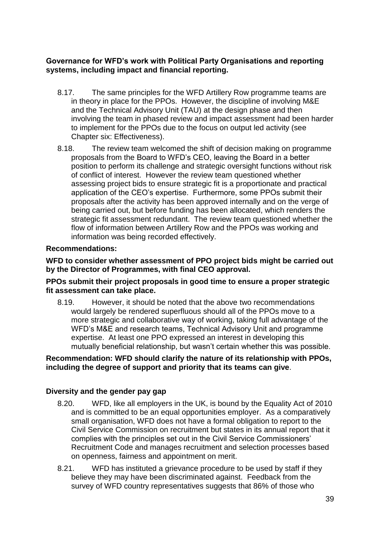# **Governance for WFD's work with Political Party Organisations and reporting systems, including impact and financial reporting.**

- 8.17. The same principles for the WFD Artillery Row programme teams are in theory in place for the PPOs. However, the discipline of involving M&E and the Technical Advisory Unit (TAU) at the design phase and then involving the team in phased review and impact assessment had been harder to implement for the PPOs due to the focus on output led activity (see Chapter six: Effectiveness).
- 8.18. The review team welcomed the shift of decision making on programme proposals from the Board to WFD's CEO, leaving the Board in a better position to perform its challenge and strategic oversight functions without risk of conflict of interest. However the review team questioned whether assessing project bids to ensure strategic fit is a proportionate and practical application of the CEO's expertise. Furthermore, some PPOs submit their proposals after the activity has been approved internally and on the verge of being carried out, but before funding has been allocated, which renders the strategic fit assessment redundant. The review team questioned whether the flow of information between Artillery Row and the PPOs was working and information was being recorded effectively.

# **Recommendations:**

#### **WFD to consider whether assessment of PPO project bids might be carried out by the Director of Programmes, with final CEO approval.**

#### **PPOs submit their project proposals in good time to ensure a proper strategic fit assessment can take place.**

8.19. However, it should be noted that the above two recommendations would largely be rendered superfluous should all of the PPOs move to a more strategic and collaborative way of working, taking full advantage of the WFD's M&E and research teams, Technical Advisory Unit and programme expertise. At least one PPO expressed an interest in developing this mutually beneficial relationship, but wasn't certain whether this was possible.

#### **Recommendation: WFD should clarify the nature of its relationship with PPOs, including the degree of support and priority that its teams can give**.

# **Diversity and the gender pay gap**

- 8.20. WFD, like all employers in the UK, is bound by the Equality Act of 2010 and is committed to be an equal opportunities employer. As a comparatively small organisation, WFD does not have a formal obligation to report to the Civil Service Commission on recruitment but states in its annual report that it complies with the principles set out in the Civil Service Commissioners' Recruitment Code and manages recruitment and selection processes based on openness, fairness and appointment on merit.
- 8.21. WFD has instituted a grievance procedure to be used by staff if they believe they may have been discriminated against. Feedback from the survey of WFD country representatives suggests that 86% of those who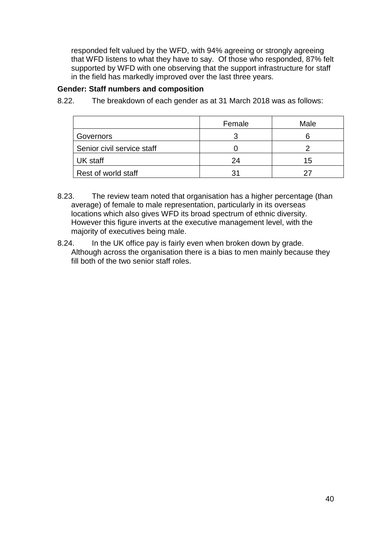responded felt valued by the WFD, with 94% agreeing or strongly agreeing that WFD listens to what they have to say. Of those who responded, 87% felt supported by WFD with one observing that the support infrastructure for staff in the field has markedly improved over the last three years.

# **Gender: Staff numbers and composition**

|                            | Female | Male |
|----------------------------|--------|------|
| Governors                  |        |      |
| Senior civil service staff |        |      |
| UK staff                   | 24     | 15   |
| Rest of world staff        |        |      |

8.22. The breakdown of each gender as at 31 March 2018 was as follows:

- 8.23. The review team noted that organisation has a higher percentage (than average) of female to male representation, particularly in its overseas locations which also gives WFD its broad spectrum of ethnic diversity. However this figure inverts at the executive management level, with the majority of executives being male.
- 8.24. In the UK office pay is fairly even when broken down by grade. Although across the organisation there is a bias to men mainly because they fill both of the two senior staff roles.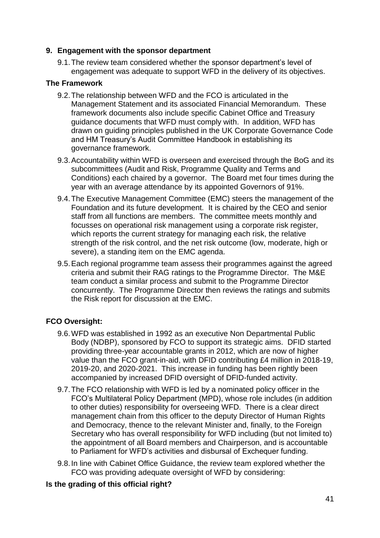# **9. Engagement with the sponsor department**

9.1.The review team considered whether the sponsor department's level of engagement was adequate to support WFD in the delivery of its objectives.

# **The Framework**

- 9.2.The relationship between WFD and the FCO is articulated in the Management Statement and its associated Financial Memorandum. These framework documents also include specific Cabinet Office and Treasury guidance documents that WFD must comply with. In addition, WFD has drawn on guiding principles published in the UK Corporate Governance Code and HM Treasury's Audit Committee Handbook in establishing its governance framework.
- 9.3.Accountability within WFD is overseen and exercised through the BoG and its subcommittees (Audit and Risk, Programme Quality and Terms and Conditions) each chaired by a governor. The Board met four times during the year with an average attendance by its appointed Governors of 91%.
- 9.4.The Executive Management Committee (EMC) steers the management of the Foundation and its future development. It is chaired by the CEO and senior staff from all functions are members. The committee meets monthly and focusses on operational risk management using a corporate risk register, which reports the current strategy for managing each risk, the relative strength of the risk control, and the net risk outcome (low, moderate, high or severe), a standing item on the EMC agenda.
- 9.5.Each regional programme team assess their programmes against the agreed criteria and submit their RAG ratings to the Programme Director. The M&E team conduct a similar process and submit to the Programme Director concurrently. The Programme Director then reviews the ratings and submits the Risk report for discussion at the EMC.

# **FCO Oversight:**

- 9.6.WFD was established in 1992 as an executive Non Departmental Public Body (NDBP), sponsored by FCO to support its strategic aims. DFID started providing three-year accountable grants in 2012, which are now of higher value than the FCO grant-in-aid, with DFID contributing £4 million in 2018-19, 2019-20, and 2020-2021. This increase in funding has been rightly been accompanied by increased DFID oversight of DFID-funded activity.
- 9.7.The FCO relationship with WFD is led by a nominated policy officer in the FCO's Multilateral Policy Department (MPD), whose role includes (in addition to other duties) responsibility for overseeing WFD. There is a clear direct management chain from this officer to the deputy Director of Human Rights and Democracy, thence to the relevant Minister and, finally, to the Foreign Secretary who has overall responsibility for WFD including (but not limited to) the appointment of all Board members and Chairperson, and is accountable to Parliament for WFD's activities and disbursal of Exchequer funding.
- 9.8.In line with Cabinet Office Guidance, the review team explored whether the FCO was providing adequate oversight of WFD by considering:

# **Is the grading of this official right?**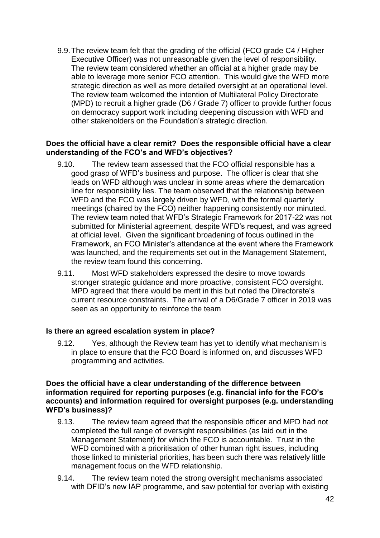9.9.The review team felt that the grading of the official (FCO grade C4 / Higher Executive Officer) was not unreasonable given the level of responsibility. The review team considered whether an official at a higher grade may be able to leverage more senior FCO attention. This would give the WFD more strategic direction as well as more detailed oversight at an operational level. The review team welcomed the intention of Multilateral Policy Directorate (MPD) to recruit a higher grade (D6 / Grade 7) officer to provide further focus on democracy support work including deepening discussion with WFD and other stakeholders on the Foundation's strategic direction.

#### **Does the official have a clear remit? Does the responsible official have a clear understanding of the FCO's and WFD's objectives?**

- 9.10. The review team assessed that the FCO official responsible has a good grasp of WFD's business and purpose. The officer is clear that she leads on WFD although was unclear in some areas where the demarcation line for responsibility lies. The team observed that the relationship between WFD and the FCO was largely driven by WFD, with the formal quarterly meetings (chaired by the FCO) neither happening consistently nor minuted. The review team noted that WFD's Strategic Framework for 2017-22 was not submitted for Ministerial agreement, despite WFD's request, and was agreed at official level. Given the significant broadening of focus outlined in the Framework, an FCO Minister's attendance at the event where the Framework was launched, and the requirements set out in the Management Statement, the review team found this concerning.
- 9.11. Most WFD stakeholders expressed the desire to move towards stronger strategic guidance and more proactive, consistent FCO oversight. MPD agreed that there would be merit in this but noted the Directorate's current resource constraints. The arrival of a D6/Grade 7 officer in 2019 was seen as an opportunity to reinforce the team

#### **Is there an agreed escalation system in place?**

9.12. Yes, although the Review team has yet to identify what mechanism is in place to ensure that the FCO Board is informed on, and discusses WFD programming and activities.

#### **Does the official have a clear understanding of the difference between information required for reporting purposes (e.g. financial info for the FCO's accounts) and information required for oversight purposes (e.g. understanding WFD's business)?**

- 9.13. The review team agreed that the responsible officer and MPD had not completed the full range of oversight responsibilities (as laid out in the Management Statement) for which the FCO is accountable. Trust in the WFD combined with a prioritisation of other human right issues, including those linked to ministerial priorities, has been such there was relatively little management focus on the WFD relationship.
- 9.14. The review team noted the strong oversight mechanisms associated with DFID's new IAP programme, and saw potential for overlap with existing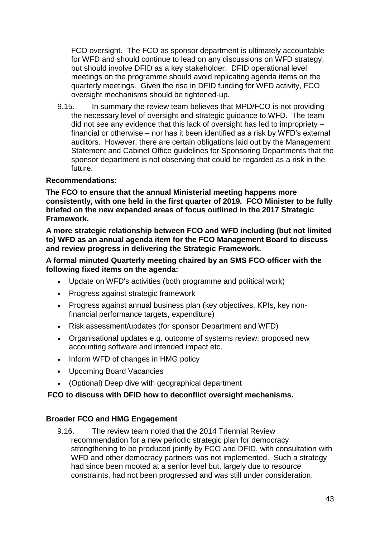FCO oversight. The FCO as sponsor department is ultimately accountable for WFD and should continue to lead on any discussions on WFD strategy, but should involve DFID as a key stakeholder. DFID operational level meetings on the programme should avoid replicating agenda items on the quarterly meetings. Given the rise in DFID funding for WFD activity, FCO oversight mechanisms should be tightened-up.

9.15. In summary the review team believes that MPD/FCO is not providing the necessary level of oversight and strategic guidance to WFD. The team did not see any evidence that this lack of oversight has led to impropriety – financial or otherwise – nor has it been identified as a risk by WFD's external auditors. However, there are certain obligations laid out by the Management Statement and Cabinet Office guidelines for Sponsoring Departments that the sponsor department is not observing that could be regarded as a risk in the future.

# **Recommendations:**

**The FCO to ensure that the annual Ministerial meeting happens more consistently, with one held in the first quarter of 2019. FCO Minister to be fully briefed on the new expanded areas of focus outlined in the 2017 Strategic Framework.**

**A more strategic relationship between FCO and WFD including (but not limited to) WFD as an annual agenda item for the FCO Management Board to discuss and review progress in delivering the Strategic Framework.**

# **A formal minuted Quarterly meeting chaired by an SMS FCO officer with the following fixed items on the agenda:**

- Update on WFD's activities (both programme and political work)
- Progress against strategic framework
- Progress against annual business plan (key objectives, KPIs, key nonfinancial performance targets, expenditure)
- Risk assessment/updates (for sponsor Department and WFD)
- Organisational updates e.g. outcome of systems review; proposed new accounting software and intended impact etc.
- Inform WFD of changes in HMG policy
- Upcoming Board Vacancies
- (Optional) Deep dive with geographical department

#### **FCO to discuss with DFID how to deconflict oversight mechanisms.**

#### **Broader FCO and HMG Engagement**

9.16. The review team noted that the 2014 Triennial Review recommendation for a new periodic strategic plan for democracy strengthening to be produced jointly by FCO and DFID, with consultation with WFD and other democracy partners was not implemented. Such a strategy had since been mooted at a senior level but, largely due to resource constraints, had not been progressed and was still under consideration.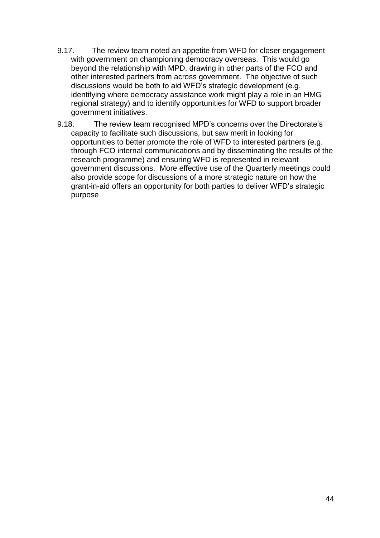- 9.17. The review team noted an appetite from WFD for closer engagement with government on championing democracy overseas. This would go beyond the relationship with MPD, drawing in other parts of the FCO and other interested partners from across government. The objective of such discussions would be both to aid WFD's strategic development (e.g. identifying where democracy assistance work might play a role in an HMG regional strategy) and to identify opportunities for WFD to support broader government initiatives.
- 9.18. The review team recognised MPD's concerns over the Directorate's capacity to facilitate such discussions, but saw merit in looking for opportunities to better promote the role of WFD to interested partners (e.g. through FCO internal communications and by disseminating the results of the research programme) and ensuring WFD is represented in relevant government discussions. More effective use of the Quarterly meetings could also provide scope for discussions of a more strategic nature on how the grant-in-aid offers an opportunity for both parties to deliver WFD's strategic purpose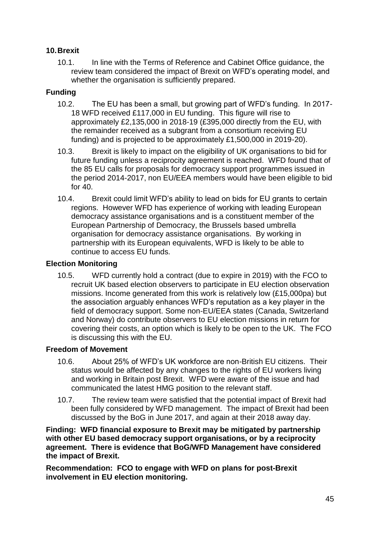# **10.Brexit**

10.1. In line with the Terms of Reference and Cabinet Office guidance, the review team considered the impact of Brexit on WFD's operating model, and whether the organisation is sufficiently prepared.

# **Funding**

- 10.2. The EU has been a small, but growing part of WFD's funding. In 2017- 18 WFD received £117,000 in EU funding. This figure will rise to approximately £2,135,000 in 2018-19 (£395,000 directly from the EU, with the remainder received as a subgrant from a consortium receiving EU funding) and is projected to be approximately £1,500,000 in 2019-20).
- 10.3. Brexit is likely to impact on the eligibility of UK organisations to bid for future funding unless a reciprocity agreement is reached. WFD found that of the 85 EU calls for proposals for democracy support programmes issued in the period 2014-2017, non EU/EEA members would have been eligible to bid for 40.
- 10.4. Brexit could limit WFD's ability to lead on bids for EU grants to certain regions. However WFD has experience of working with leading European democracy assistance organisations and is a constituent member of the European Partnership of Democracy, the Brussels based umbrella organisation for democracy assistance organisations. By working in partnership with its European equivalents, WFD is likely to be able to continue to access EU funds.

# **Election Monitoring**

10.5. WFD currently hold a contract (due to expire in 2019) with the FCO to recruit UK based election observers to participate in EU election observation missions. Income generated from this work is relatively low (£15,000pa) but the association arguably enhances WFD's reputation as a key player in the field of democracy support. Some non-EU/EEA states (Canada, Switzerland and Norway) do contribute observers to EU election missions in return for covering their costs, an option which is likely to be open to the UK. The FCO is discussing this with the EU.

# **Freedom of Movement**

- 10.6. About 25% of WFD's UK workforce are non-British EU citizens. Their status would be affected by any changes to the rights of EU workers living and working in Britain post Brexit. WFD were aware of the issue and had communicated the latest HMG position to the relevant staff.
- 10.7. The review team were satisfied that the potential impact of Brexit had been fully considered by WFD management. The impact of Brexit had been discussed by the BoG in June 2017, and again at their 2018 away day.

**Finding: WFD financial exposure to Brexit may be mitigated by partnership with other EU based democracy support organisations, or by a reciprocity agreement. There is evidence that BoG/WFD Management have considered the impact of Brexit.**

**Recommendation: FCO to engage with WFD on plans for post-Brexit involvement in EU election monitoring.**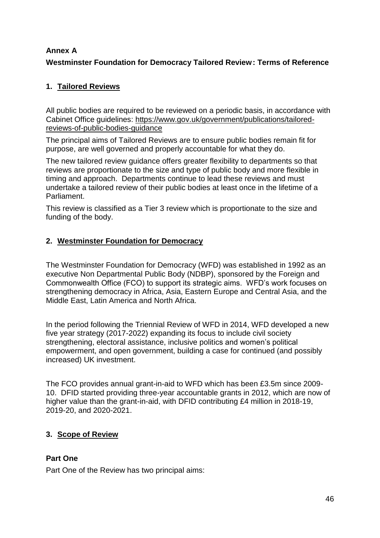# **Annex A**

# **Westminster Foundation for Democracy Tailored Review: Terms of Reference**

# **1. Tailored Reviews**

All public bodies are required to be reviewed on a periodic basis, in accordance with Cabinet Office guidelines[:](https://www.gov.uk/government/publications/tailored-reviews-of-public-bodies-guidance) [https://www.gov.uk/government/publications/tailored](https://www.gov.uk/government/publications/tailored-reviews-of-public-bodies-guidance)[reviews-of-public-bodies-guidance](https://www.gov.uk/government/publications/tailored-reviews-of-public-bodies-guidance)

The principal aims of Tailored Reviews are to ensure public bodies remain fit for purpose, are well governed and properly accountable for what they do.

The new tailored review guidance offers greater flexibility to departments so that reviews are proportionate to the size and type of public body and more flexible in timing and approach. Departments continue to lead these reviews and must undertake a tailored review of their public bodies at least once in the lifetime of a Parliament.

This review is classified as a Tier 3 review which is proportionate to the size and funding of the body.

# **2. Westminster Foundation for Democracy**

The Westminster Foundation for Democracy (WFD) was established in 1992 as an executive Non Departmental Public Body (NDBP), sponsored by the Foreign and Commonwealth Office (FCO) to support its strategic aims. WFD's work focuses on strengthening democracy in Africa, Asia, Eastern Europe and Central Asia, and the Middle East, Latin America and North Africa.

In the period following the Triennial Review of WFD in 2014, WFD developed a new five year strategy (2017-2022) expanding its focus to include civil society strengthening, electoral assistance, inclusive politics and women's political empowerment, and open government, building a case for continued (and possibly increased) UK investment.

The FCO provides annual grant-in-aid to WFD which has been £3.5m since 2009- 10. DFID started providing three-year accountable grants in 2012, which are now of higher value than the grant-in-aid, with DFID contributing £4 million in 2018-19, 2019-20, and 2020-2021.

# **3. Scope of Review**

# **Part One**

Part One of the Review has two principal aims: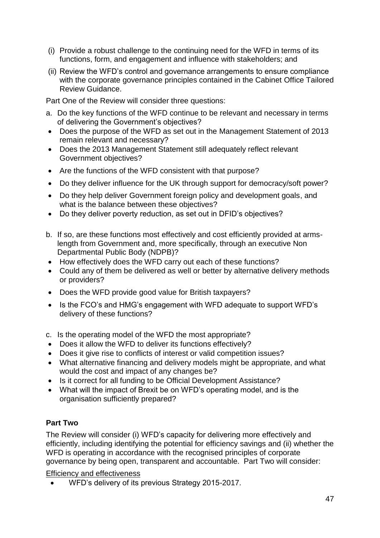- (i) Provide a robust challenge to the continuing need for the WFD in terms of its functions, form, and engagement and influence with stakeholders; and
- (ii) Review the WFD's control and governance arrangements to ensure compliance with the corporate governance principles contained in the Cabinet Office Tailored Review Guidance.

Part One of the Review will consider three questions:

- a. Do the key functions of the WFD continue to be relevant and necessary in terms of delivering the Government's objectives?
- Does the purpose of the WFD as set out in the Management Statement of 2013 remain relevant and necessary?
- Does the 2013 Management Statement still adequately reflect relevant Government objectives?
- Are the functions of the WFD consistent with that purpose?
- Do they deliver influence for the UK through support for democracy/soft power?
- Do they help deliver Government foreign policy and development goals, and what is the balance between these objectives?
- Do they deliver poverty reduction, as set out in DFID's objectives?
- b. If so, are these functions most effectively and cost efficiently provided at armslength from Government and, more specifically, through an executive Non Departmental Public Body (NDPB)?
- How effectively does the WFD carry out each of these functions?
- Could any of them be delivered as well or better by alternative delivery methods or providers?
- Does the WFD provide good value for British taxpayers?
- Is the FCO's and HMG's engagement with WFD adequate to support WFD's delivery of these functions?
- c. Is the operating model of the WFD the most appropriate?
- Does it allow the WFD to deliver its functions effectively?
- Does it give rise to conflicts of interest or valid competition issues?
- What alternative financing and delivery models might be appropriate, and what would the cost and impact of any changes be?
- Is it correct for all funding to be Official Development Assistance?
- What will the impact of Brexit be on WFD's operating model, and is the organisation sufficiently prepared?

# **Part Two**

The Review will consider (i) WFD's capacity for delivering more effectively and efficiently, including identifying the potential for efficiency savings and (ii) whether the WFD is operating in accordance with the recognised principles of corporate governance by being open, transparent and accountable. Part Two will consider:

Efficiency and effectiveness

WFD's delivery of its previous Strategy 2015-2017.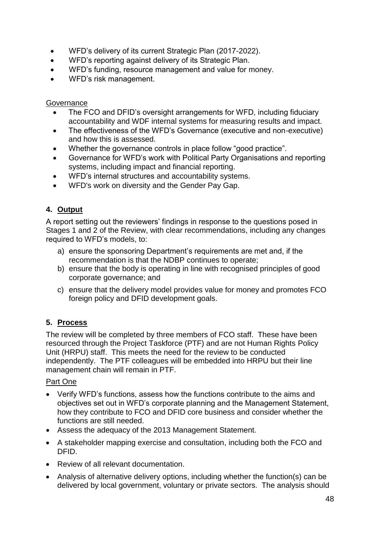- WFD's delivery of its current Strategic Plan (2017-2022).
- WFD's reporting against delivery of its Strategic Plan.
- WFD's funding, resource management and value for money.
- WFD's risk management.

# **Governance**

- The FCO and DFID's oversight arrangements for WFD, including fiduciary accountability and WDF internal systems for measuring results and impact.
- The effectiveness of the WFD's Governance (executive and non-executive) and how this is assessed.
- Whether the governance controls in place follow "good practice".
- Governance for WFD's work with Political Party Organisations and reporting systems, including impact and financial reporting.
- WFD's internal structures and accountability systems.
- WFD's work on diversity and the Gender Pay Gap.

# **4. Output**

A report setting out the reviewers' findings in response to the questions posed in Stages 1 and 2 of the Review, with clear recommendations, including any changes required to WFD's models, to:

- a) ensure the sponsoring Department's requirements are met and, if the recommendation is that the NDBP continues to operate;
- b) ensure that the body is operating in line with recognised principles of good corporate governance; and
- c) ensure that the delivery model provides value for money and promotes FCO foreign policy and DFID development goals.

# **5. Process**

The review will be completed by three members of FCO staff. These have been resourced through the Project Taskforce (PTF) and are not Human Rights Policy Unit (HRPU) staff. This meets the need for the review to be conducted independently. The PTF colleagues will be embedded into HRPU but their line management chain will remain in PTF.

#### Part One

- Verify WFD's functions, assess how the functions contribute to the aims and objectives set out in WFD's corporate planning and the Management Statement, how they contribute to FCO and DFID core business and consider whether the functions are still needed.
- Assess the adequacy of the 2013 Management Statement.
- A stakeholder mapping exercise and consultation, including both the FCO and DFID.
- Review of all relevant documentation.
- Analysis of alternative delivery options, including whether the function(s) can be delivered by local government, voluntary or private sectors. The analysis should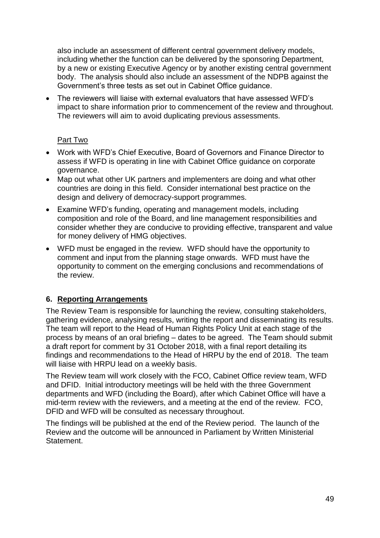also include an assessment of different central government delivery models, including whether the function can be delivered by the sponsoring Department, by a new or existing Executive Agency or by another existing central government body. The analysis should also include an assessment of the NDPB against the Government's three tests as set out in Cabinet Office guidance.

 The reviewers will liaise with external evaluators that have assessed WFD's impact to share information prior to commencement of the review and throughout. The reviewers will aim to avoid duplicating previous assessments.

# Part Two

- Work with WFD's Chief Executive, Board of Governors and Finance Director to assess if WFD is operating in line with Cabinet Office guidance on corporate governance.
- Map out what other UK partners and implementers are doing and what other countries are doing in this field. Consider international best practice on the design and delivery of democracy-support programmes.
- Examine WFD's funding, operating and management models, including composition and role of the Board, and line management responsibilities and consider whether they are conducive to providing effective, transparent and value for money delivery of HMG objectives.
- WFD must be engaged in the review. WFD should have the opportunity to comment and input from the planning stage onwards. WFD must have the opportunity to comment on the emerging conclusions and recommendations of the review.

# **6. Reporting Arrangements**

The Review Team is responsible for launching the review, consulting stakeholders, gathering evidence, analysing results, writing the report and disseminating its results. The team will report to the Head of Human Rights Policy Unit at each stage of the process by means of an oral briefing – dates to be agreed. The Team should submit a draft report for comment by 31 October 2018, with a final report detailing its findings and recommendations to the Head of HRPU by the end of 2018. The team will liaise with HRPU lead on a weekly basis.

The Review team will work closely with the FCO, Cabinet Office review team, WFD and DFID. Initial introductory meetings will be held with the three Government departments and WFD (including the Board), after which Cabinet Office will have a mid-term review with the reviewers, and a meeting at the end of the review. FCO, DFID and WFD will be consulted as necessary throughout.

The findings will be published at the end of the Review period. The launch of the Review and the outcome will be announced in Parliament by Written Ministerial Statement.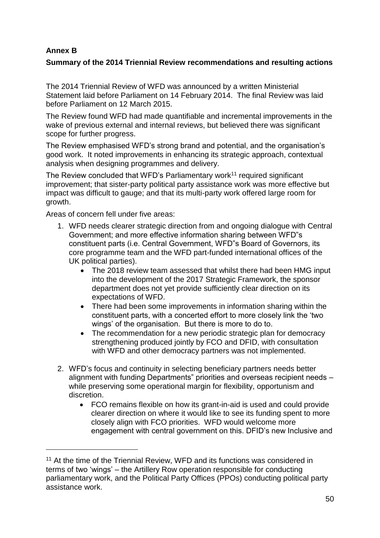# **Annex B**

1

# **Summary of the 2014 Triennial Review recommendations and resulting actions**

The 2014 Triennial Review of WFD was announced by a written Ministerial Statement laid before Parliament on 14 February 2014. The final Review was laid before Parliament on 12 March 2015.

The Review found WFD had made quantifiable and incremental improvements in the wake of previous external and internal reviews, but believed there was significant scope for further progress.

The Review emphasised WFD's strong brand and potential, and the organisation's good work. It noted improvements in enhancing its strategic approach, contextual analysis when designing programmes and delivery.

The Review concluded that WFD's Parliamentary work<sup>11</sup> required significant improvement; that sister-party political party assistance work was more effective but impact was difficult to gauge; and that its multi-party work offered large room for growth.

Areas of concern fell under five areas:

- 1. WFD needs clearer strategic direction from and ongoing dialogue with Central Government; and more effective information sharing between WFD"s constituent parts (i.e. Central Government, WFD"s Board of Governors, its core programme team and the WFD part-funded international offices of the UK political parties).
	- The 2018 review team assessed that whilst there had been HMG input into the development of the 2017 Strategic Framework, the sponsor department does not yet provide sufficiently clear direction on its expectations of WFD.
	- There had been some improvements in information sharing within the constituent parts, with a concerted effort to more closely link the 'two wings' of the organisation. But there is more to do to.
	- The recommendation for a new periodic strategic plan for democracy strengthening produced jointly by FCO and DFID, with consultation with WFD and other democracy partners was not implemented.
- 2. WFD's focus and continuity in selecting beneficiary partners needs better alignment with funding Departments" priorities and overseas recipient needs – while preserving some operational margin for flexibility, opportunism and discretion.
	- FCO remains flexible on how its grant-in-aid is used and could provide clearer direction on where it would like to see its funding spent to more closely align with FCO priorities. WFD would welcome more engagement with central government on this. DFID's new Inclusive and

<sup>&</sup>lt;sup>11</sup> At the time of the Triennial Review, WFD and its functions was considered in terms of two 'wings' – the Artillery Row operation responsible for conducting parliamentary work, and the Political Party Offices (PPOs) conducting political party assistance work.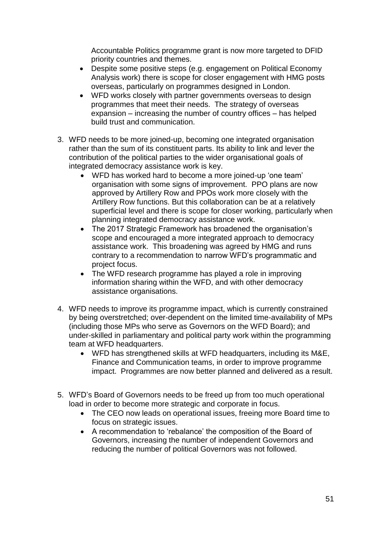Accountable Politics programme grant is now more targeted to DFID priority countries and themes.

- Despite some positive steps (e.g. engagement on Political Economy Analysis work) there is scope for closer engagement with HMG posts overseas, particularly on programmes designed in London.
- WFD works closely with partner governments overseas to design programmes that meet their needs. The strategy of overseas expansion – increasing the number of country offices – has helped build trust and communication.
- 3. WFD needs to be more joined-up, becoming one integrated organisation rather than the sum of its constituent parts. Its ability to link and lever the contribution of the political parties to the wider organisational goals of integrated democracy assistance work is key.
	- WFD has worked hard to become a more joined-up 'one team' organisation with some signs of improvement. PPO plans are now approved by Artillery Row and PPOs work more closely with the Artillery Row functions. But this collaboration can be at a relatively superficial level and there is scope for closer working, particularly when planning integrated democracy assistance work.
	- The 2017 Strategic Framework has broadened the organisation's scope and encouraged a more integrated approach to democracy assistance work. This broadening was agreed by HMG and runs contrary to a recommendation to narrow WFD's programmatic and project focus.
	- The WFD research programme has played a role in improving information sharing within the WFD, and with other democracy assistance organisations.
- 4. WFD needs to improve its programme impact, which is currently constrained by being overstretched; over-dependent on the limited time-availability of MPs (including those MPs who serve as Governors on the WFD Board); and under-skilled in parliamentary and political party work within the programming team at WFD headquarters.
	- WFD has strengthened skills at WFD headquarters, including its M&E, Finance and Communication teams, in order to improve programme impact. Programmes are now better planned and delivered as a result.
- 5. WFD's Board of Governors needs to be freed up from too much operational load in order to become more strategic and corporate in focus.
	- The CEO now leads on operational issues, freeing more Board time to focus on strategic issues.
	- A recommendation to 'rebalance' the composition of the Board of Governors, increasing the number of independent Governors and reducing the number of political Governors was not followed.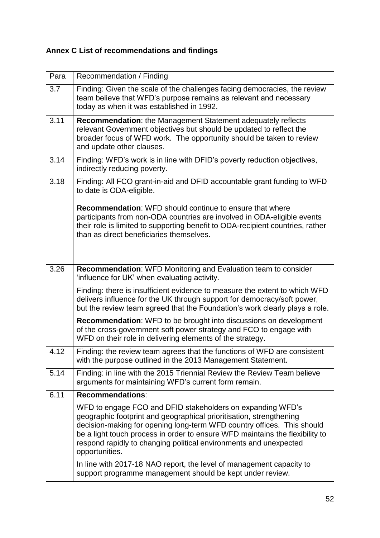# **Annex C List of recommendations and findings**

| Para | Recommendation / Finding                                                                                                                                                                                                                                                                                                                                                           |
|------|------------------------------------------------------------------------------------------------------------------------------------------------------------------------------------------------------------------------------------------------------------------------------------------------------------------------------------------------------------------------------------|
| 3.7  | Finding: Given the scale of the challenges facing democracies, the review<br>team believe that WFD's purpose remains as relevant and necessary<br>today as when it was established in 1992.                                                                                                                                                                                        |
| 3.11 | Recommendation: the Management Statement adequately reflects<br>relevant Government objectives but should be updated to reflect the<br>broader focus of WFD work. The opportunity should be taken to review<br>and update other clauses.                                                                                                                                           |
| 3.14 | Finding: WFD's work is in line with DFID's poverty reduction objectives,<br>indirectly reducing poverty.                                                                                                                                                                                                                                                                           |
| 3.18 | Finding: All FCO grant-in-aid and DFID accountable grant funding to WFD<br>to date is ODA-eligible.                                                                                                                                                                                                                                                                                |
|      | <b>Recommendation:</b> WFD should continue to ensure that where<br>participants from non-ODA countries are involved in ODA-eligible events<br>their role is limited to supporting benefit to ODA-recipient countries, rather<br>than as direct beneficiaries themselves.                                                                                                           |
| 3.26 | Recommendation: WFD Monitoring and Evaluation team to consider<br>'influence for UK' when evaluating activity.                                                                                                                                                                                                                                                                     |
|      | Finding: there is insufficient evidence to measure the extent to which WFD<br>delivers influence for the UK through support for democracy/soft power,<br>but the review team agreed that the Foundation's work clearly plays a role.                                                                                                                                               |
|      | <b>Recommendation:</b> WFD to be brought into discussions on development<br>of the cross-government soft power strategy and FCO to engage with<br>WFD on their role in delivering elements of the strategy.                                                                                                                                                                        |
| 4.12 | Finding: the review team agrees that the functions of WFD are consistent<br>with the purpose outlined in the 2013 Management Statement.                                                                                                                                                                                                                                            |
| 5.14 | Finding: in line with the 2015 Triennial Review the Review Team believe<br>arguments for maintaining WFD's current form remain.                                                                                                                                                                                                                                                    |
| 6.11 | <b>Recommendations:</b>                                                                                                                                                                                                                                                                                                                                                            |
|      | WFD to engage FCO and DFID stakeholders on expanding WFD's<br>geographic footprint and geographical prioritisation, strengthening<br>decision-making for opening long-term WFD country offices. This should<br>be a light touch process in order to ensure WFD maintains the flexibility to<br>respond rapidly to changing political environments and unexpected<br>opportunities. |
|      | In line with 2017-18 NAO report, the level of management capacity to<br>support programme management should be kept under review.                                                                                                                                                                                                                                                  |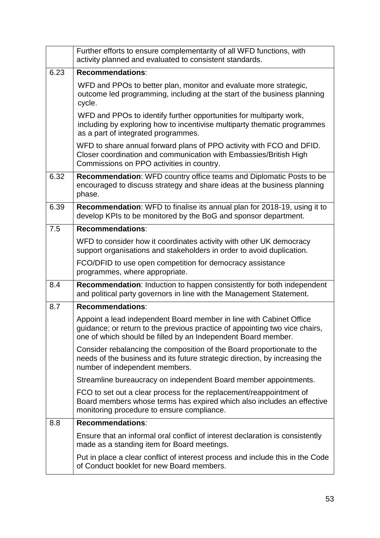|      | Further efforts to ensure complementarity of all WFD functions, with<br>activity planned and evaluated to consistent standards.                                                                                     |
|------|---------------------------------------------------------------------------------------------------------------------------------------------------------------------------------------------------------------------|
| 6.23 | <b>Recommendations:</b>                                                                                                                                                                                             |
|      | WFD and PPOs to better plan, monitor and evaluate more strategic,<br>outcome led programming, including at the start of the business planning<br>cycle.                                                             |
|      | WFD and PPOs to identify further opportunities for multiparty work,<br>including by exploring how to incentivise multiparty thematic programmes<br>as a part of integrated programmes.                              |
|      | WFD to share annual forward plans of PPO activity with FCO and DFID.<br>Closer coordination and communication with Embassies/British High<br>Commissions on PPO activities in country.                              |
| 6.32 | <b>Recommendation:</b> WFD country office teams and Diplomatic Posts to be<br>encouraged to discuss strategy and share ideas at the business planning<br>phase.                                                     |
| 6.39 | Recommendation: WFD to finalise its annual plan for 2018-19, using it to<br>develop KPIs to be monitored by the BoG and sponsor department.                                                                         |
| 7.5  | <b>Recommendations:</b>                                                                                                                                                                                             |
|      | WFD to consider how it coordinates activity with other UK democracy<br>support organisations and stakeholders in order to avoid duplication.                                                                        |
|      | FCO/DFID to use open competition for democracy assistance<br>programmes, where appropriate.                                                                                                                         |
| 8.4  | <b>Recommendation:</b> Induction to happen consistently for both independent<br>and political party governors in line with the Management Statement.                                                                |
| 8.7  | <b>Recommendations:</b>                                                                                                                                                                                             |
|      | Appoint a lead independent Board member in line with Cabinet Office<br>guidance; or return to the previous practice of appointing two vice chairs,<br>one of which should be filled by an Independent Board member. |
|      | Consider rebalancing the composition of the Board proportionate to the<br>needs of the business and its future strategic direction, by increasing the<br>number of independent members.                             |
|      | Streamline bureaucracy on independent Board member appointments.                                                                                                                                                    |
|      | FCO to set out a clear process for the replacement/reappointment of<br>Board members whose terms has expired which also includes an effective<br>monitoring procedure to ensure compliance.                         |
| 8.8  | <b>Recommendations:</b>                                                                                                                                                                                             |
|      | Ensure that an informal oral conflict of interest declaration is consistently<br>made as a standing item for Board meetings.                                                                                        |
|      | Put in place a clear conflict of interest process and include this in the Code<br>of Conduct booklet for new Board members.                                                                                         |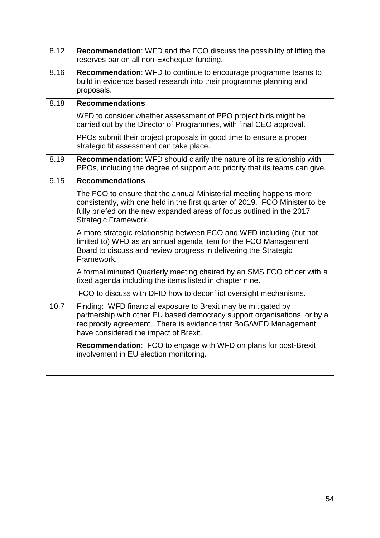| 8.12 | <b>Recommendation:</b> WFD and the FCO discuss the possibility of lifting the<br>reserves bar on all non-Exchequer funding.                                                                                                                            |
|------|--------------------------------------------------------------------------------------------------------------------------------------------------------------------------------------------------------------------------------------------------------|
| 8.16 | Recommendation: WFD to continue to encourage programme teams to<br>build in evidence based research into their programme planning and<br>proposals.                                                                                                    |
| 8.18 | <b>Recommendations:</b>                                                                                                                                                                                                                                |
|      | WFD to consider whether assessment of PPO project bids might be<br>carried out by the Director of Programmes, with final CEO approval.                                                                                                                 |
|      | PPOs submit their project proposals in good time to ensure a proper<br>strategic fit assessment can take place.                                                                                                                                        |
| 8.19 | Recommendation: WFD should clarify the nature of its relationship with<br>PPOs, including the degree of support and priority that its teams can give.                                                                                                  |
| 9.15 | <b>Recommendations:</b>                                                                                                                                                                                                                                |
|      | The FCO to ensure that the annual Ministerial meeting happens more<br>consistently, with one held in the first quarter of 2019. FCO Minister to be<br>fully briefed on the new expanded areas of focus outlined in the 2017<br>Strategic Framework.    |
|      | A more strategic relationship between FCO and WFD including (but not<br>limited to) WFD as an annual agenda item for the FCO Management<br>Board to discuss and review progress in delivering the Strategic<br>Framework.                              |
|      | A formal minuted Quarterly meeting chaired by an SMS FCO officer with a<br>fixed agenda including the items listed in chapter nine.                                                                                                                    |
|      | FCO to discuss with DFID how to deconflict oversight mechanisms.                                                                                                                                                                                       |
| 10.7 | Finding: WFD financial exposure to Brexit may be mitigated by<br>partnership with other EU based democracy support organisations, or by a<br>reciprocity agreement. There is evidence that BoG/WFD Management<br>have considered the impact of Brexit. |
|      | <b>Recommendation:</b> FCO to engage with WFD on plans for post-Brexit<br>involvement in EU election monitoring.                                                                                                                                       |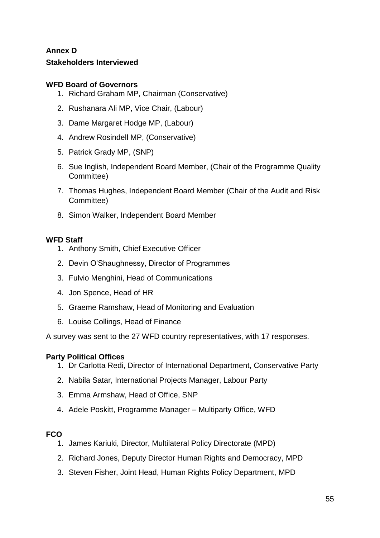# **Annex D Stakeholders Interviewed**

# **WFD Board of Governors**

- 1. Richard Graham MP, Chairman (Conservative)
- 2. Rushanara Ali MP, Vice Chair, (Labour)
- 3. Dame Margaret Hodge MP, (Labour)
- 4. Andrew Rosindell MP, (Conservative)
- 5. Patrick Grady MP, (SNP)
- 6. Sue Inglish, Independent Board Member, (Chair of the Programme Quality Committee)
- 7. Thomas Hughes, Independent Board Member (Chair of the Audit and Risk Committee)
- 8. Simon Walker, Independent Board Member

# **WFD Staff**

- 1. Anthony Smith, Chief Executive Officer
- 2. Devin O'Shaughnessy, Director of Programmes
- 3. Fulvio Menghini, Head of Communications
- 4. Jon Spence, Head of HR
- 5. Graeme Ramshaw, Head of Monitoring and Evaluation
- 6. Louise Collings, Head of Finance

A survey was sent to the 27 WFD country representatives, with 17 responses.

# **Party Political Offices**

- 1. Dr Carlotta Redi, Director of International Department, Conservative Party
- 2. Nabila Satar, International Projects Manager, Labour Party
- 3. Emma Armshaw, Head of Office, SNP
- 4. Adele Poskitt, Programme Manager Multiparty Office, WFD

# **FCO**

- 1. James Kariuki, Director, Multilateral Policy Directorate (MPD)
- 2. Richard Jones, Deputy Director Human Rights and Democracy, MPD
- 3. Steven Fisher, Joint Head, Human Rights Policy Department, MPD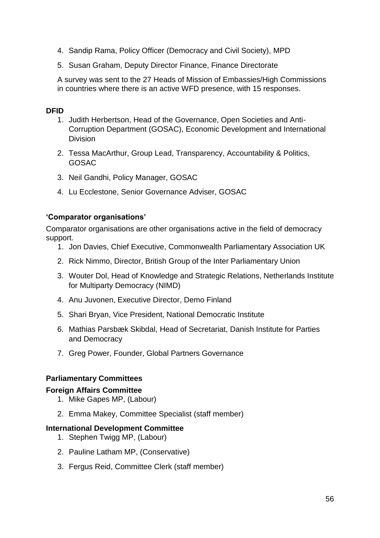- 4. Sandip Rama, Policy Officer (Democracy and Civil Society), MPD
- 5. Susan Graham, Deputy Director Finance, Finance Directorate

A survey was sent to the 27 Heads of Mission of Embassies/High Commissions in countries where there is an active WFD presence, with 15 responses.

# **DFID**

- 1. Judith Herbertson, Head of the Governance, Open Societies and Anti-Corruption Department (GOSAC), Economic Development and International Division
- 2. Tessa MacArthur, Group Lead, Transparency, Accountability & Politics, GOSAC
- 3. Neil Gandhi, Policy Manager, GOSAC
- 4. Lu Ecclestone, Senior Governance Adviser, GOSAC

#### **'Comparator organisations'**

Comparator organisations are other organisations active in the field of democracy support.

- 1. Jon Davies, Chief Executive, Commonwealth Parliamentary Association UK
- 2. Rick Nimmo, Director, British Group of the Inter Parliamentary Union
- 3. Wouter Dol, Head of Knowledge and Strategic Relations, Netherlands Institute for Multiparty Democracy (NIMD)
- 4. Anu Juvonen, Executive Director, Demo Finland
- 5. Shari Bryan, Vice President, National Democratic Institute
- 6. Mathias Parsbæk Skibdal, Head of Secretariat, Danish Institute for Parties and Democracy
- 7. Greg Power, Founder, Global Partners Governance

# **Parliamentary Committees**

#### **Foreign Affairs Committee**

- 1. Mike Gapes MP, (Labour)
- 2. Emma Makey, Committee Specialist (staff member)

#### **International Development Committee**

- 1. Stephen Twigg MP, (Labour)
- 2. Pauline Latham MP, (Conservative)
- 3. Fergus Reid, Committee Clerk (staff member)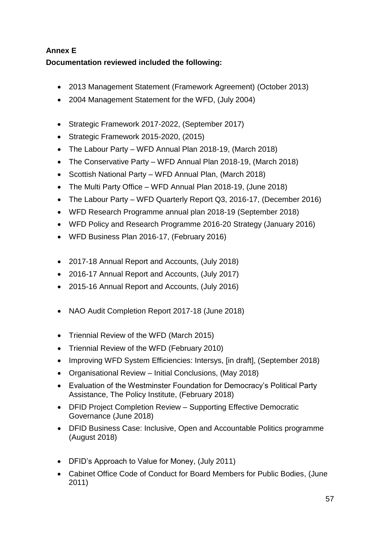# **Annex E Documentation reviewed included the following:**

- [2013 Management Statement \(Framework Agreement\)](https://www.wfd.org/wp-content/uploads/2018/08/WFD-Framework-Agreement-2013.pdf) (October 2013)
- 2004 Management Statement for the WFD, (July 2004)
- [Strategic Framework 2017-2022,](https://www.wfd.org/about/strategy/) (September 2017)
- Strategic Framework 2015-2020, (2015)
- The Labour Party WFD Annual Plan 2018-19, (March 2018)
- The Conservative Party WFD Annual Plan 2018-19, (March 2018)
- Scottish National Party WFD Annual Plan, (March 2018)
- The Multi Party Office WFD Annual Plan 2018-19, (June 2018)
- The Labour Party WFD Quarterly Report Q3, 2016-17, (December 2016)
- WFD Research Programme annual plan 2018-19 (September 2018)
- WFD Policy and Research Programme 2016-20 Strategy (January 2016)
- WFD Business Plan 2016-17, (February 2016)
- 2017-18 Annual Report and Accounts, (July 2018)
- 2016-17 Annual Report and Accounts, (July 2017)
- 2015-16 Annual Report and Accounts, (July 2016)
- NAO Audit Completion Report 2017-18 (June 2018)
- [Triennial Review of the WFD](http://www.parliament.uk/business/publications/written-questions-answers-statements/written-statement/Commons/2015-03-12/HCWS412/) (March 2015)
- [Triennial Review of the WFD](https://www.wfd.org/wp-content/uploads/2018/07/Programme-information-2009-2010-FCO-WFD-Review.pdf) (February 2010)
- Improving WFD System Efficiencies: Intersys, [in draft], (September 2018)
- Organisational Review Initial Conclusions, (May 2018)
- Evaluation of the Westminster Foundation for Democracy's Political Party Assistance, The Policy Institute, (February 2018)
- DFID Project Completion Review Supporting Effective Democratic Governance (June 2018)
- DFID Business Case: Inclusive, Open and Accountable Politics programme (August 2018)
- [DFID's Approach to Value for Money,](https://assets.publishing.service.gov.uk/government/uploads/system/uploads/attachment_data/file/49551/DFID-approach-value-money.pdf) (July 2011)
- Cabinet Office Code of Conduct for Board Members for Public Bodies, (June 2011)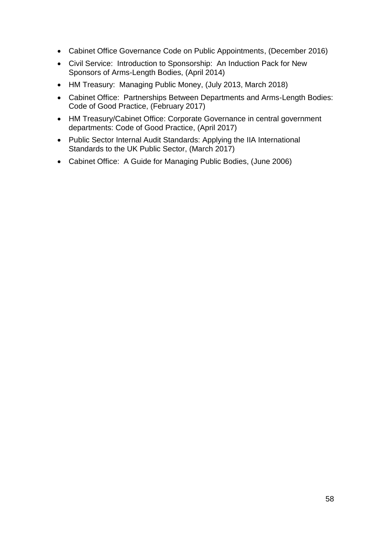- Cabinet Office Governance Code on Public Appointments, (December 2016)
- Civil Service: Introduction to Sponsorship: An Induction Pack for New Sponsors of Arms-Length Bodies, (April 2014)
- HM Treasury: Managing Public Money, (July 2013, March 2018)
- Cabinet Office: Partnerships Between Departments and Arms-Length Bodies: Code of Good Practice, (February 2017)
- HM Treasury/Cabinet Office: Corporate Governance in central government departments: Code of Good Practice, (April 2017)
- Public Sector Internal Audit Standards: Applying the IIA International Standards to the UK Public Sector, (March 2017)
- Cabinet Office: A Guide for Managing Public Bodies, (June 2006)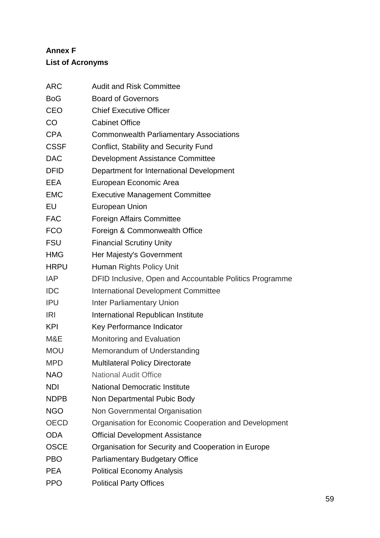# **Annex F List of Acronyms**

| ARC         | <b>Audit and Risk Committee</b>                         |
|-------------|---------------------------------------------------------|
| <b>BoG</b>  | <b>Board of Governors</b>                               |
| CEO         | <b>Chief Executive Officer</b>                          |
| CO          | <b>Cabinet Office</b>                                   |
| <b>CPA</b>  | <b>Commonwealth Parliamentary Associations</b>          |
| <b>CSSF</b> | Conflict, Stability and Security Fund                   |
| <b>DAC</b>  | <b>Development Assistance Committee</b>                 |
| <b>DFID</b> | Department for International Development                |
| EEA         | European Economic Area                                  |
| <b>EMC</b>  | <b>Executive Management Committee</b>                   |
| EU          | <b>European Union</b>                                   |
| <b>FAC</b>  | <b>Foreign Affairs Committee</b>                        |
| <b>FCO</b>  | Foreign & Commonwealth Office                           |
| <b>FSU</b>  | <b>Financial Scrutiny Unity</b>                         |
| HMG         | Her Majesty's Government                                |
| <b>HRPU</b> | Human Rights Policy Unit                                |
| <b>IAP</b>  | DFID Inclusive, Open and Accountable Politics Programme |
| <b>IDC</b>  | International Development Committee                     |
| IPU         | <b>Inter Parliamentary Union</b>                        |
| <b>IRI</b>  | International Republican Institute                      |
| KPI         | Key Performance Indicator                               |
| M&E         | Monitoring and Evaluation                               |
| <b>MOU</b>  | Memorandum of Understanding                             |
| <b>MPD</b>  | <b>Multilateral Policy Directorate</b>                  |
| <b>NAO</b>  | <b>National Audit Office</b>                            |
| <b>NDI</b>  | <b>National Democratic Institute</b>                    |
| <b>NDPB</b> | Non Departmental Pubic Body                             |
| <b>NGO</b>  | Non Governmental Organisation                           |
| <b>OECD</b> | Organisation for Economic Cooperation and Development   |
| <b>ODA</b>  | <b>Official Development Assistance</b>                  |
| <b>OSCE</b> | Organisation for Security and Cooperation in Europe     |
| PBO         | <b>Parliamentary Budgetary Office</b>                   |
| <b>PEA</b>  | <b>Political Economy Analysis</b>                       |
| <b>PPO</b>  | <b>Political Party Offices</b>                          |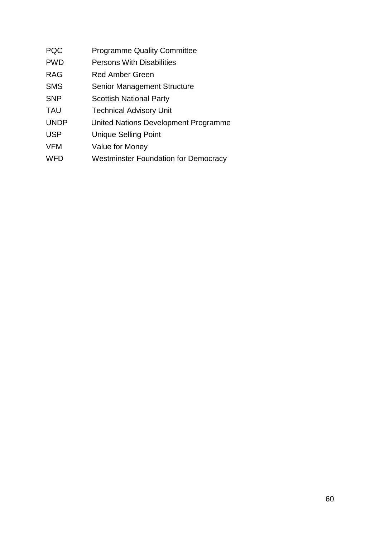- PQC Programme Quality Committee
- PWD Persons With Disabilities
- RAG Red Amber Green
- SMS Senior Management Structure
- SNP Scottish National Party
- TAU Technical Advisory Unit
- UNDP United Nations Development Programme
- USP Unique Selling Point
- VFM Value for Money
- WFD Westminster Foundation for Democracy